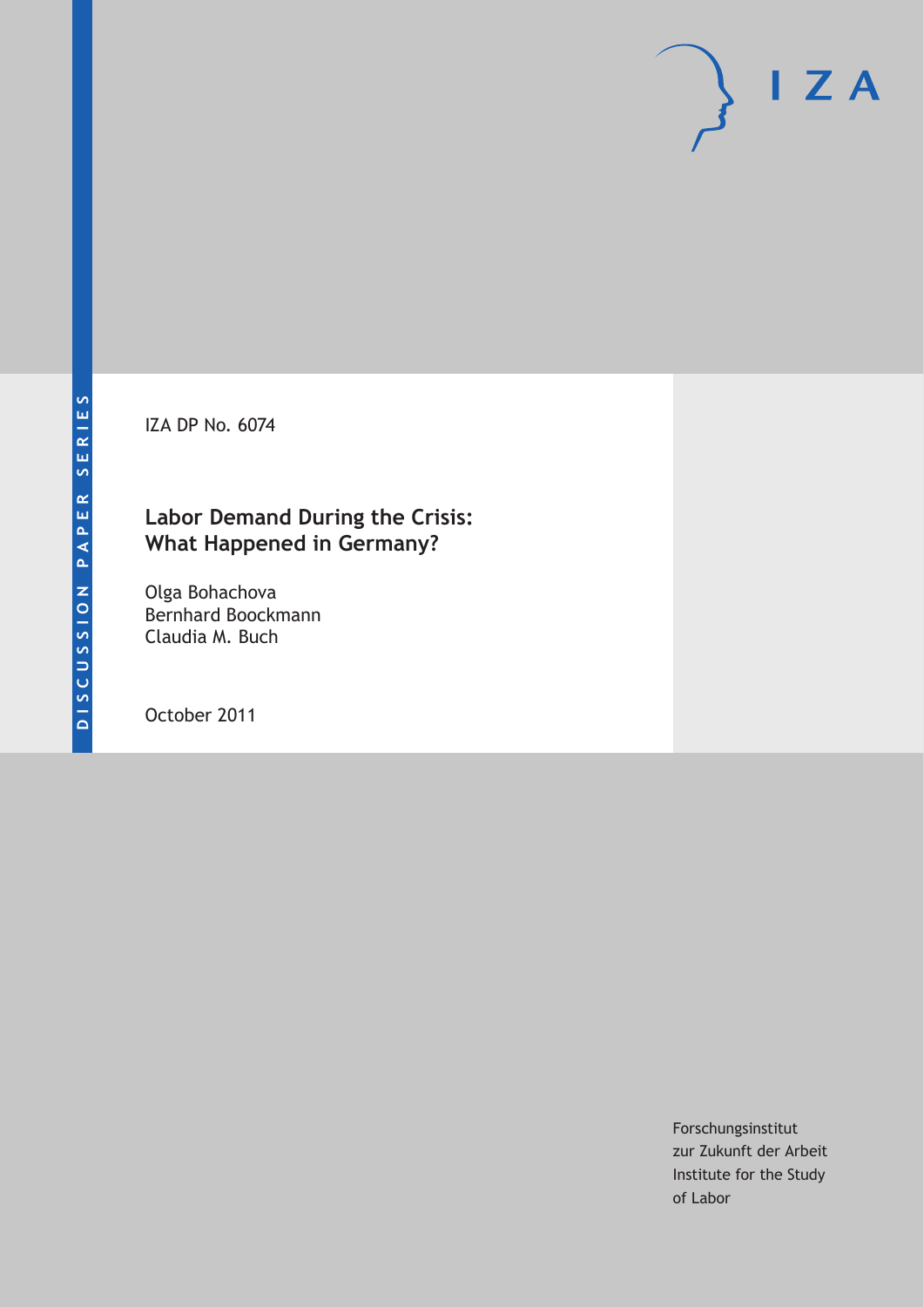IZA DP No. 6074

# **Labor Demand During the Crisis: What Happened in Germany?**

Olga Bohachova Bernhard Boockmann Claudia M. Buch

October 2011

Forschungsinstitut zur Zukunft der Arbeit Institute for the Study of Labor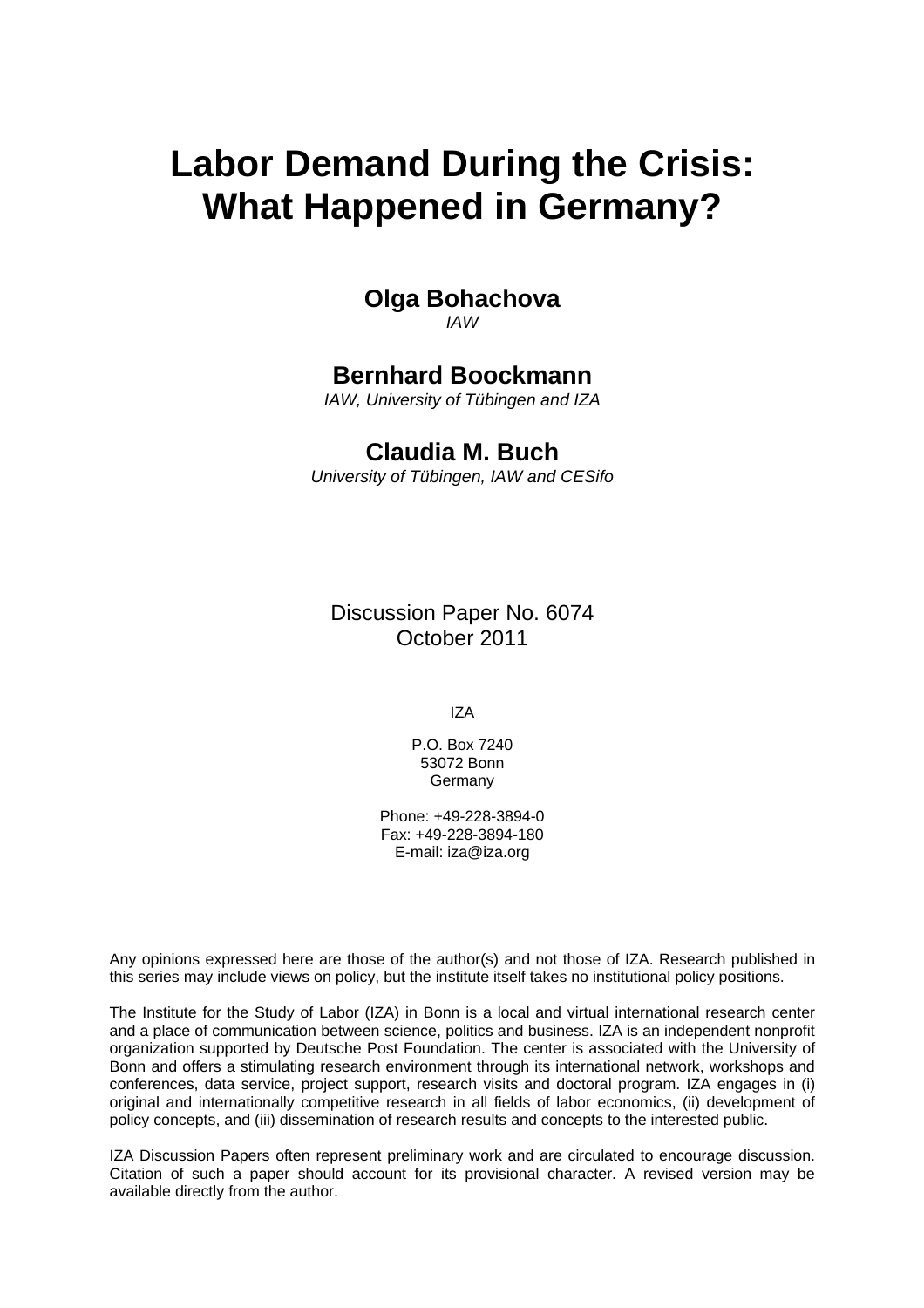# **Labor Demand During the Crisis: What Happened in Germany?**

#### **Olga Bohachova**  *IAW*

# **Bernhard Boockmann**

*IAW, University of Tübingen and IZA* 

# **Claudia M. Buch**

*University of Tübingen, IAW and CESifo* 

Discussion Paper No. 6074 October 2011

IZA

P.O. Box 7240 53072 Bonn **Germany** 

Phone: +49-228-3894-0 Fax: +49-228-3894-180 E-mail: [iza@iza.org](mailto:iza@iza.org)

Any opinions expressed here are those of the author(s) and not those of IZA. Research published in this series may include views on policy, but the institute itself takes no institutional policy positions.

The Institute for the Study of Labor (IZA) in Bonn is a local and virtual international research center and a place of communication between science, politics and business. IZA is an independent nonprofit organization supported by Deutsche Post Foundation. The center is associated with the University of Bonn and offers a stimulating research environment through its international network, workshops and conferences, data service, project support, research visits and doctoral program. IZA engages in (i) original and internationally competitive research in all fields of labor economics, (ii) development of policy concepts, and (iii) dissemination of research results and concepts to the interested public.

IZA Discussion Papers often represent preliminary work and are circulated to encourage discussion. Citation of such a paper should account for its provisional character. A revised version may be available directly from the author.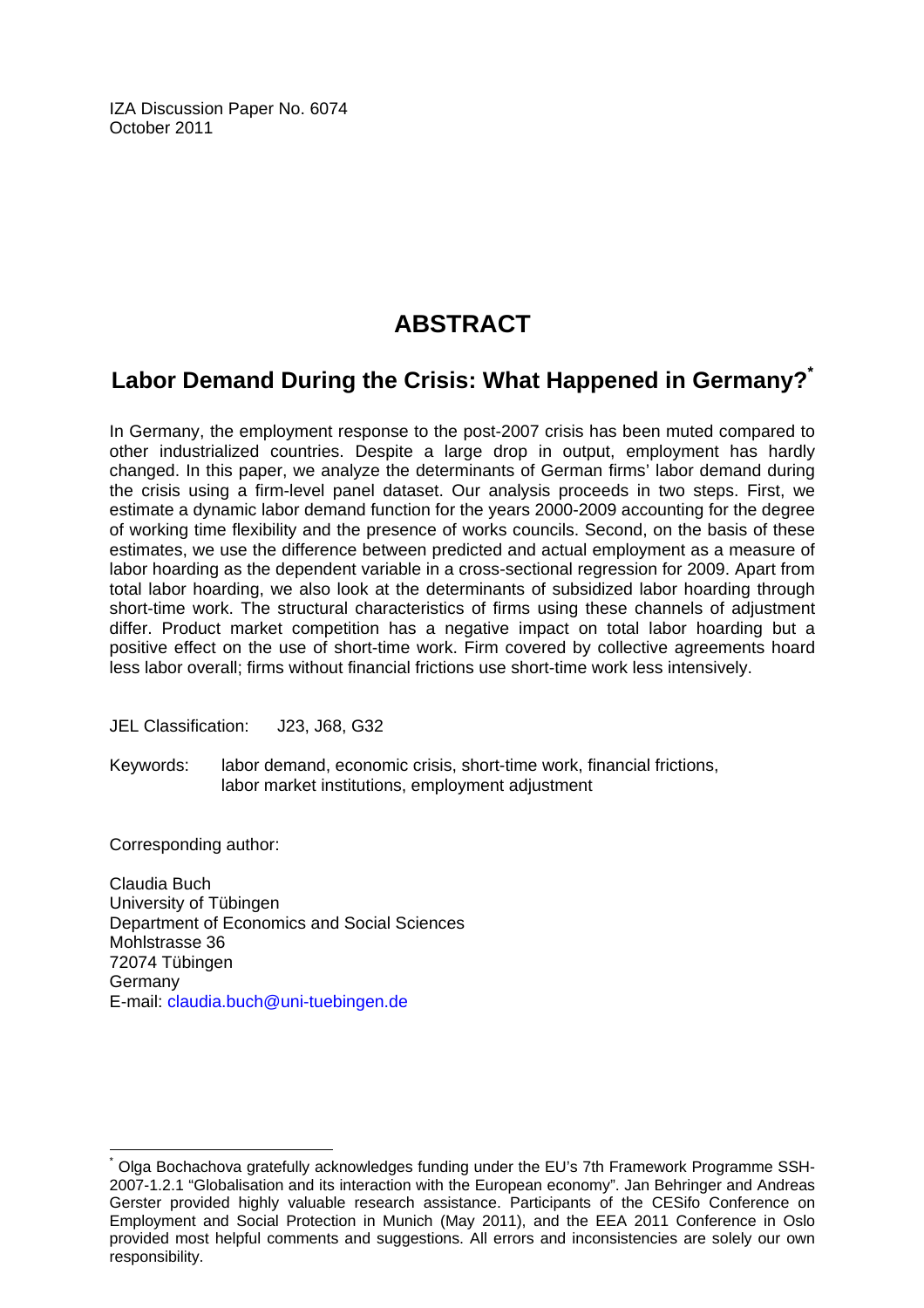IZA Discussion Paper No. 6074 October 2011

# **ABSTRACT**

# **Labor Demand During the Crisis: What Happened in Germany[?\\*](#page-2-0)**

In Germany, the employment response to the post-2007 crisis has been muted compared to other industrialized countries. Despite a large drop in output, employment has hardly changed. In this paper, we analyze the determinants of German firms' labor demand during the crisis using a firm-level panel dataset. Our analysis proceeds in two steps. First, we estimate a dynamic labor demand function for the years 2000-2009 accounting for the degree of working time flexibility and the presence of works councils. Second, on the basis of these estimates, we use the difference between predicted and actual employment as a measure of labor hoarding as the dependent variable in a cross-sectional regression for 2009. Apart from total labor hoarding, we also look at the determinants of subsidized labor hoarding through short-time work. The structural characteristics of firms using these channels of adjustment differ. Product market competition has a negative impact on total labor hoarding but a positive effect on the use of short-time work. Firm covered by collective agreements hoard less labor overall; firms without financial frictions use short-time work less intensively.

JEL Classification: J23, J68, G32

Keywords: labor demand, economic crisis, short-time work, financial frictions, labor market institutions, employment adjustment

Corresponding author:

 $\overline{a}$ 

Claudia Buch University of Tübingen Department of Economics and Social Sciences Mohlstrasse 36 72074 Tübingen Germany E-mail: [claudia.buch@uni-tuebingen.de](mailto:claudia.buch@uni-tuebingen.de) 

<span id="page-2-0"></span><sup>\*</sup> Olga Bochachova gratefully acknowledges funding under the EU's 7th Framework Programme SSH-2007-1.2.1 "Globalisation and its interaction with the European economy". Jan Behringer and Andreas Gerster provided highly valuable research assistance. Participants of the CESifo Conference on Employment and Social Protection in Munich (May 2011), and the EEA 2011 Conference in Oslo provided most helpful comments and suggestions. All errors and inconsistencies are solely our own responsibility.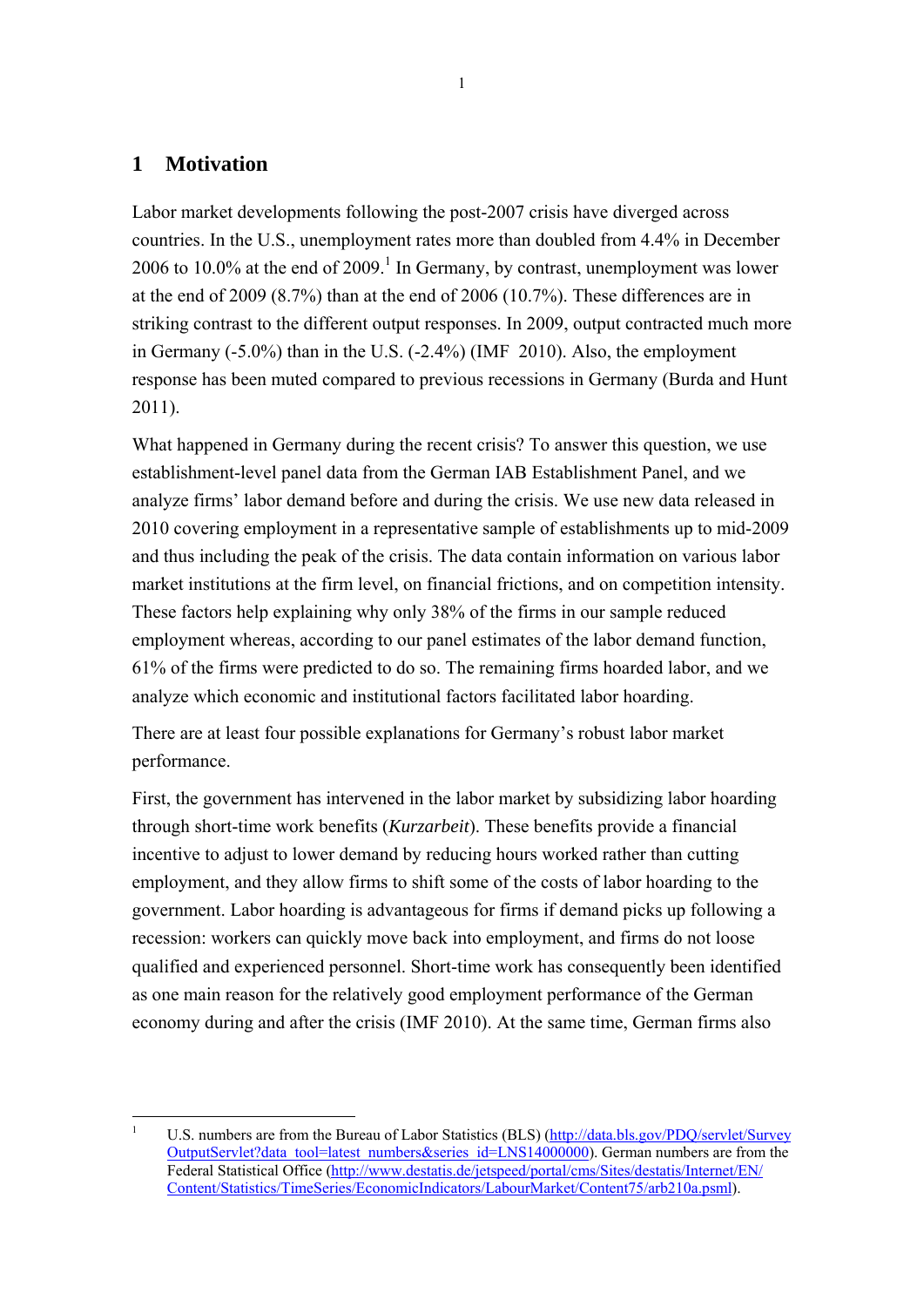# **1 Motivation**

<u>.</u>

Labor market developments following the post-2007 crisis have diverged across countries. In the U.S., unemployment rates more than doubled from 4.4% in December 2006 to 10.0% at the end of 2009.<sup>1</sup> In Germany, by contrast, unemployment was lower at the end of 2009 (8.7%) than at the end of 2006 (10.7%). These differences are in striking contrast to the different output responses. In 2009, output contracted much more in Germany (-5.0%) than in the U.S. (-2.4%) (IMF 2010). Also, the employment response has been muted compared to previous recessions in Germany (Burda and Hunt 2011).

What happened in Germany during the recent crisis? To answer this question, we use establishment-level panel data from the German IAB Establishment Panel, and we analyze firms' labor demand before and during the crisis. We use new data released in 2010 covering employment in a representative sample of establishments up to mid-2009 and thus including the peak of the crisis. The data contain information on various labor market institutions at the firm level, on financial frictions, and on competition intensity. These factors help explaining why only 38% of the firms in our sample reduced employment whereas, according to our panel estimates of the labor demand function, 61% of the firms were predicted to do so. The remaining firms hoarded labor, and we analyze which economic and institutional factors facilitated labor hoarding.

There are at least four possible explanations for Germany's robust labor market performance.

First, the government has intervened in the labor market by subsidizing labor hoarding through short-time work benefits (*Kurzarbeit*). These benefits provide a financial incentive to adjust to lower demand by reducing hours worked rather than cutting employment, and they allow firms to shift some of the costs of labor hoarding to the government. Labor hoarding is advantageous for firms if demand picks up following a recession: workers can quickly move back into employment, and firms do not loose qualified and experienced personnel. Short-time work has consequently been identified as one main reason for the relatively good employment performance of the German economy during and after the crisis (IMF 2010). At the same time, German firms also

<sup>1</sup> U.S. numbers are from the Bureau of Labor Statistics (BLS) (http://data.bls.gov/PDQ/servlet/Survey OutputServlet?data\_tool=latest\_numbers&series\_id=LNS14000000). German numbers are from the Federal Statistical Office (http://www.destatis.de/jetspeed/portal/cms/Sites/destatis/Internet/EN/ Content/Statistics/TimeSeries/EconomicIndicators/LabourMarket/Content75/arb210a.psml).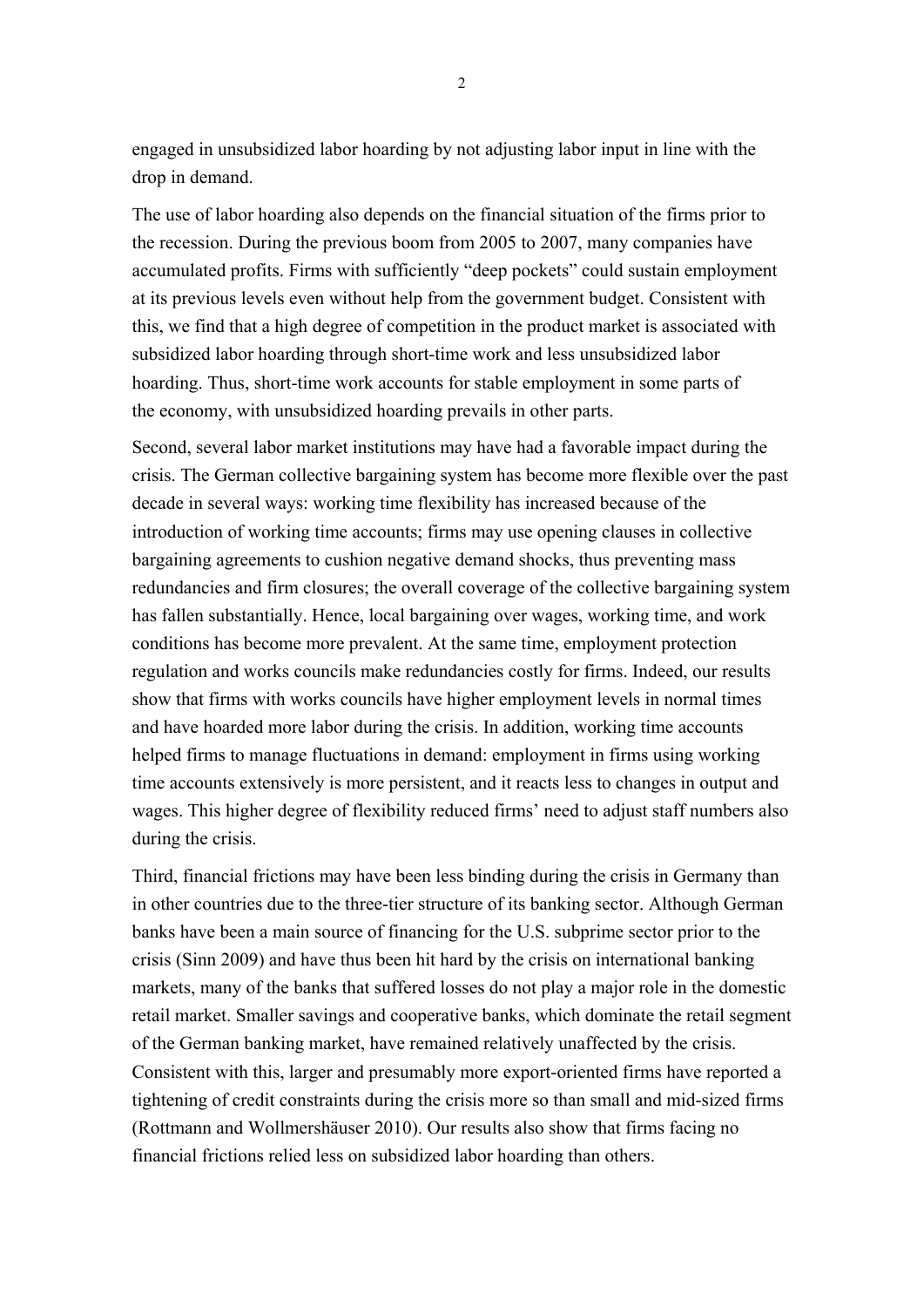engaged in unsubsidized labor hoarding by not adjusting labor input in line with the drop in demand.

The use of labor hoarding also depends on the financial situation of the firms prior to the recession. During the previous boom from 2005 to 2007, many companies have accumulated profits. Firms with sufficiently "deep pockets" could sustain employment at its previous levels even without help from the government budget. Consistent with this, we find that a high degree of competition in the product market is associated with subsidized labor hoarding through short-time work and less unsubsidized labor hoarding. Thus, short-time work accounts for stable employment in some parts of the economy, with unsubsidized hoarding prevails in other parts.

Second, several labor market institutions may have had a favorable impact during the crisis. The German collective bargaining system has become more flexible over the past decade in several ways: working time flexibility has increased because of the introduction of working time accounts; firms may use opening clauses in collective bargaining agreements to cushion negative demand shocks, thus preventing mass redundancies and firm closures; the overall coverage of the collective bargaining system has fallen substantially. Hence, local bargaining over wages, working time, and work conditions has become more prevalent. At the same time, employment protection regulation and works councils make redundancies costly for firms. Indeed, our results show that firms with works councils have higher employment levels in normal times and have hoarded more labor during the crisis. In addition, working time accounts helped firms to manage fluctuations in demand: employment in firms using working time accounts extensively is more persistent, and it reacts less to changes in output and wages. This higher degree of flexibility reduced firms' need to adjust staff numbers also during the crisis.

Third, financial frictions may have been less binding during the crisis in Germany than in other countries due to the three-tier structure of its banking sector. Although German banks have been a main source of financing for the U.S. subprime sector prior to the crisis (Sinn 2009) and have thus been hit hard by the crisis on international banking markets, many of the banks that suffered losses do not play a major role in the domestic retail market. Smaller savings and cooperative banks, which dominate the retail segment of the German banking market, have remained relatively unaffected by the crisis. Consistent with this, larger and presumably more export-oriented firms have reported a tightening of credit constraints during the crisis more so than small and mid-sized firms (Rottmann and Wollmershäuser 2010). Our results also show that firms facing no financial frictions relied less on subsidized labor hoarding than others.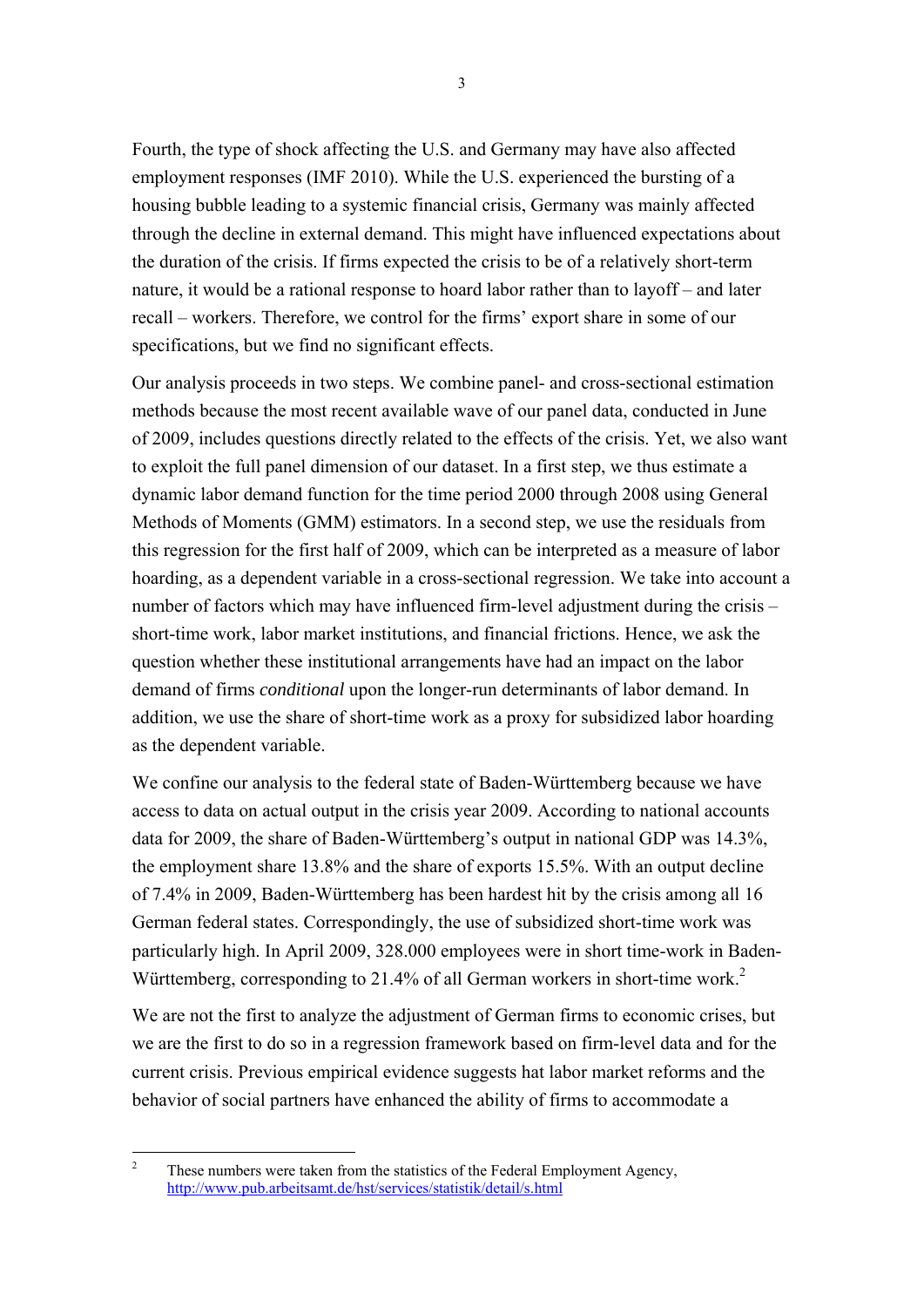Fourth, the type of shock affecting the U.S. and Germany may have also affected employment responses (IMF 2010). While the U.S. experienced the bursting of a housing bubble leading to a systemic financial crisis, Germany was mainly affected through the decline in external demand. This might have influenced expectations about the duration of the crisis. If firms expected the crisis to be of a relatively short-term nature, it would be a rational response to hoard labor rather than to layoff – and later recall – workers. Therefore, we control for the firms' export share in some of our specifications, but we find no significant effects.

Our analysis proceeds in two steps. We combine panel- and cross-sectional estimation methods because the most recent available wave of our panel data, conducted in June of 2009, includes questions directly related to the effects of the crisis. Yet, we also want to exploit the full panel dimension of our dataset. In a first step, we thus estimate a dynamic labor demand function for the time period 2000 through 2008 using General Methods of Moments (GMM) estimators. In a second step, we use the residuals from this regression for the first half of 2009, which can be interpreted as a measure of labor hoarding, as a dependent variable in a cross-sectional regression. We take into account a number of factors which may have influenced firm-level adjustment during the crisis – short-time work, labor market institutions, and financial frictions. Hence, we ask the question whether these institutional arrangements have had an impact on the labor demand of firms *conditional* upon the longer-run determinants of labor demand. In addition, we use the share of short-time work as a proxy for subsidized labor hoarding as the dependent variable.

We confine our analysis to the federal state of Baden-Württemberg because we have access to data on actual output in the crisis year 2009. According to national accounts data for 2009, the share of Baden-Württemberg's output in national GDP was 14.3%, the employment share 13.8% and the share of exports 15.5%. With an output decline of 7.4% in 2009, Baden-Württemberg has been hardest hit by the crisis among all 16 German federal states. Correspondingly, the use of subsidized short-time work was particularly high. In April 2009, 328.000 employees were in short time-work in Baden-Württemberg, corresponding to 21.4% of all German workers in short-time work.<sup>2</sup>

We are not the first to analyze the adjustment of German firms to economic crises, but we are the first to do so in a regression framework based on firm-level data and for the current crisis. Previous empirical evidence suggests hat labor market reforms and the behavior of social partners have enhanced the ability of firms to accommodate a

 $\frac{1}{2}$  These numbers were taken from the statistics of the Federal Employment Agency, http://www.pub.arbeitsamt.de/hst/services/statistik/detail/s.html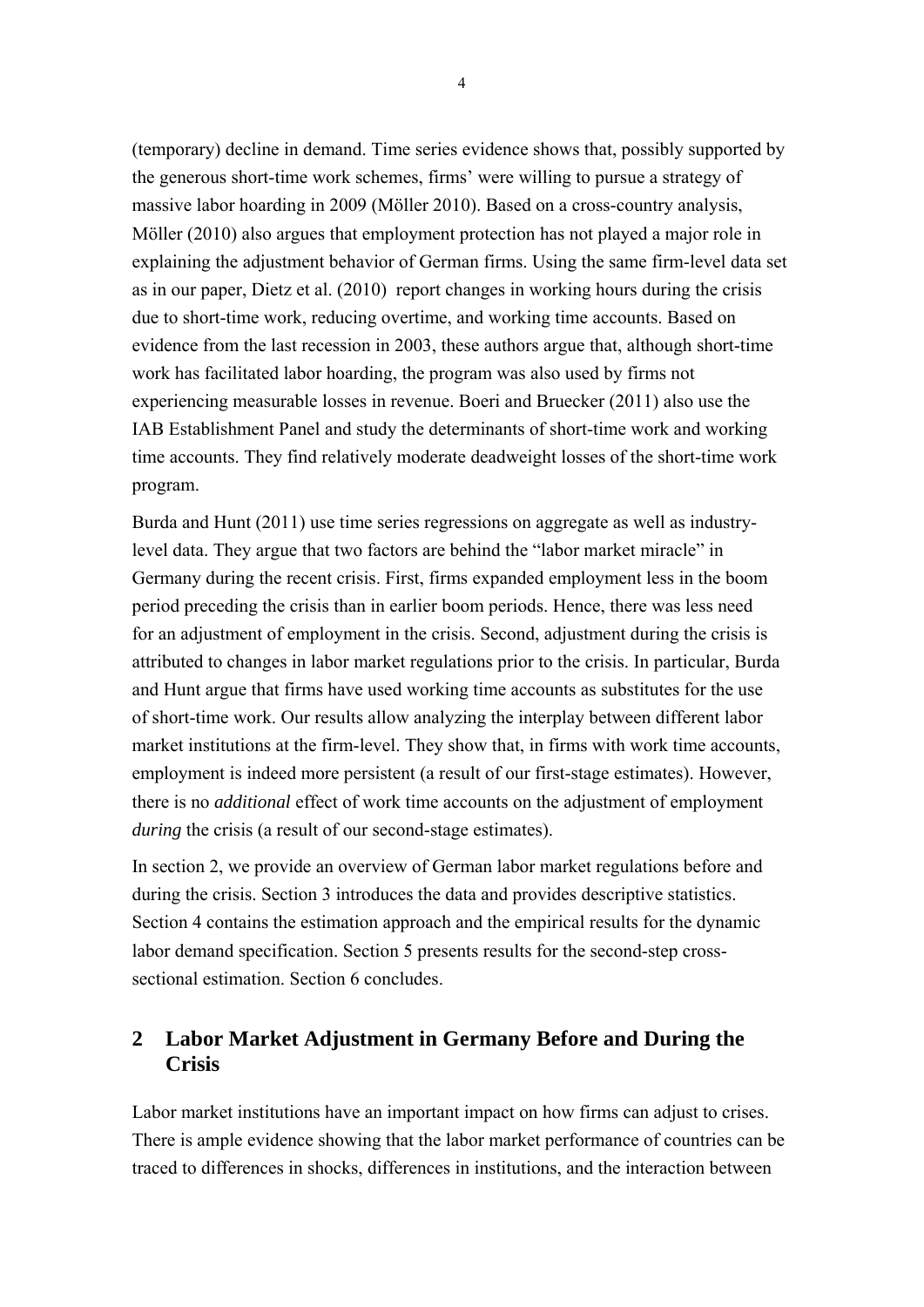(temporary) decline in demand. Time series evidence shows that, possibly supported by the generous short-time work schemes, firms' were willing to pursue a strategy of massive labor hoarding in 2009 (Möller 2010). Based on a cross-country analysis, Möller (2010) also argues that employment protection has not played a major role in explaining the adjustment behavior of German firms. Using the same firm-level data set as in our paper, Dietz et al. (2010) report changes in working hours during the crisis due to short-time work, reducing overtime, and working time accounts. Based on evidence from the last recession in 2003, these authors argue that, although short-time work has facilitated labor hoarding, the program was also used by firms not experiencing measurable losses in revenue. Boeri and Bruecker (2011) also use the IAB Establishment Panel and study the determinants of short-time work and working time accounts. They find relatively moderate deadweight losses of the short-time work program.

Burda and Hunt (2011) use time series regressions on aggregate as well as industrylevel data. They argue that two factors are behind the "labor market miracle" in Germany during the recent crisis. First, firms expanded employment less in the boom period preceding the crisis than in earlier boom periods. Hence, there was less need for an adjustment of employment in the crisis. Second, adjustment during the crisis is attributed to changes in labor market regulations prior to the crisis. In particular, Burda and Hunt argue that firms have used working time accounts as substitutes for the use of short-time work. Our results allow analyzing the interplay between different labor market institutions at the firm-level. They show that, in firms with work time accounts, employment is indeed more persistent (a result of our first-stage estimates). However, there is no *additional* effect of work time accounts on the adjustment of employment *during* the crisis (a result of our second-stage estimates).

In section 2, we provide an overview of German labor market regulations before and during the crisis. Section 3 introduces the data and provides descriptive statistics. Section 4 contains the estimation approach and the empirical results for the dynamic labor demand specification. Section 5 presents results for the second-step crosssectional estimation. Section 6 concludes.

# **2 Labor Market Adjustment in Germany Before and During the Crisis**

Labor market institutions have an important impact on how firms can adjust to crises. There is ample evidence showing that the labor market performance of countries can be traced to differences in shocks, differences in institutions, and the interaction between

4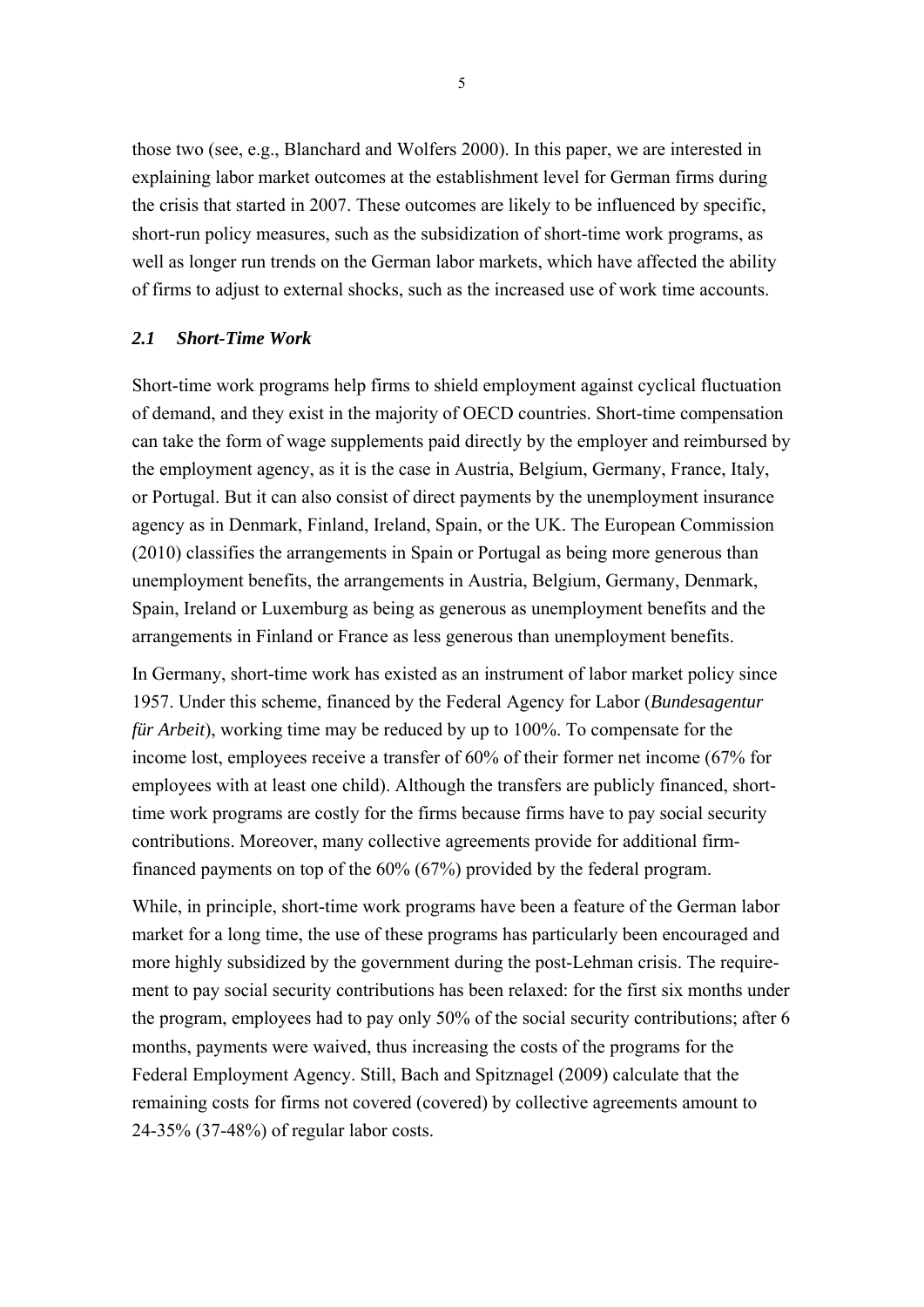those two (see, e.g., Blanchard and Wolfers 2000). In this paper, we are interested in explaining labor market outcomes at the establishment level for German firms during the crisis that started in 2007. These outcomes are likely to be influenced by specific, short-run policy measures, such as the subsidization of short-time work programs, as well as longer run trends on the German labor markets, which have affected the ability of firms to adjust to external shocks, such as the increased use of work time accounts.

#### *2.1 Short-Time Work*

Short-time work programs help firms to shield employment against cyclical fluctuation of demand, and they exist in the majority of OECD countries. Short-time compensation can take the form of wage supplements paid directly by the employer and reimbursed by the employment agency, as it is the case in Austria, Belgium, Germany, France, Italy, or Portugal. But it can also consist of direct payments by the unemployment insurance agency as in Denmark, Finland, Ireland, Spain, or the UK. The European Commission (2010) classifies the arrangements in Spain or Portugal as being more generous than unemployment benefits, the arrangements in Austria, Belgium, Germany, Denmark, Spain, Ireland or Luxemburg as being as generous as unemployment benefits and the arrangements in Finland or France as less generous than unemployment benefits.

In Germany, short-time work has existed as an instrument of labor market policy since 1957. Under this scheme, financed by the Federal Agency for Labor (*Bundesagentur für Arbeit*), working time may be reduced by up to 100%. To compensate for the income lost, employees receive a transfer of 60% of their former net income (67% for employees with at least one child). Although the transfers are publicly financed, shorttime work programs are costly for the firms because firms have to pay social security contributions. Moreover, many collective agreements provide for additional firmfinanced payments on top of the 60% (67%) provided by the federal program.

While, in principle, short-time work programs have been a feature of the German labor market for a long time, the use of these programs has particularly been encouraged and more highly subsidized by the government during the post-Lehman crisis. The requirement to pay social security contributions has been relaxed: for the first six months under the program, employees had to pay only 50% of the social security contributions; after 6 months, payments were waived, thus increasing the costs of the programs for the Federal Employment Agency. Still, Bach and Spitznagel (2009) calculate that the remaining costs for firms not covered (covered) by collective agreements amount to 24-35% (37-48%) of regular labor costs.

5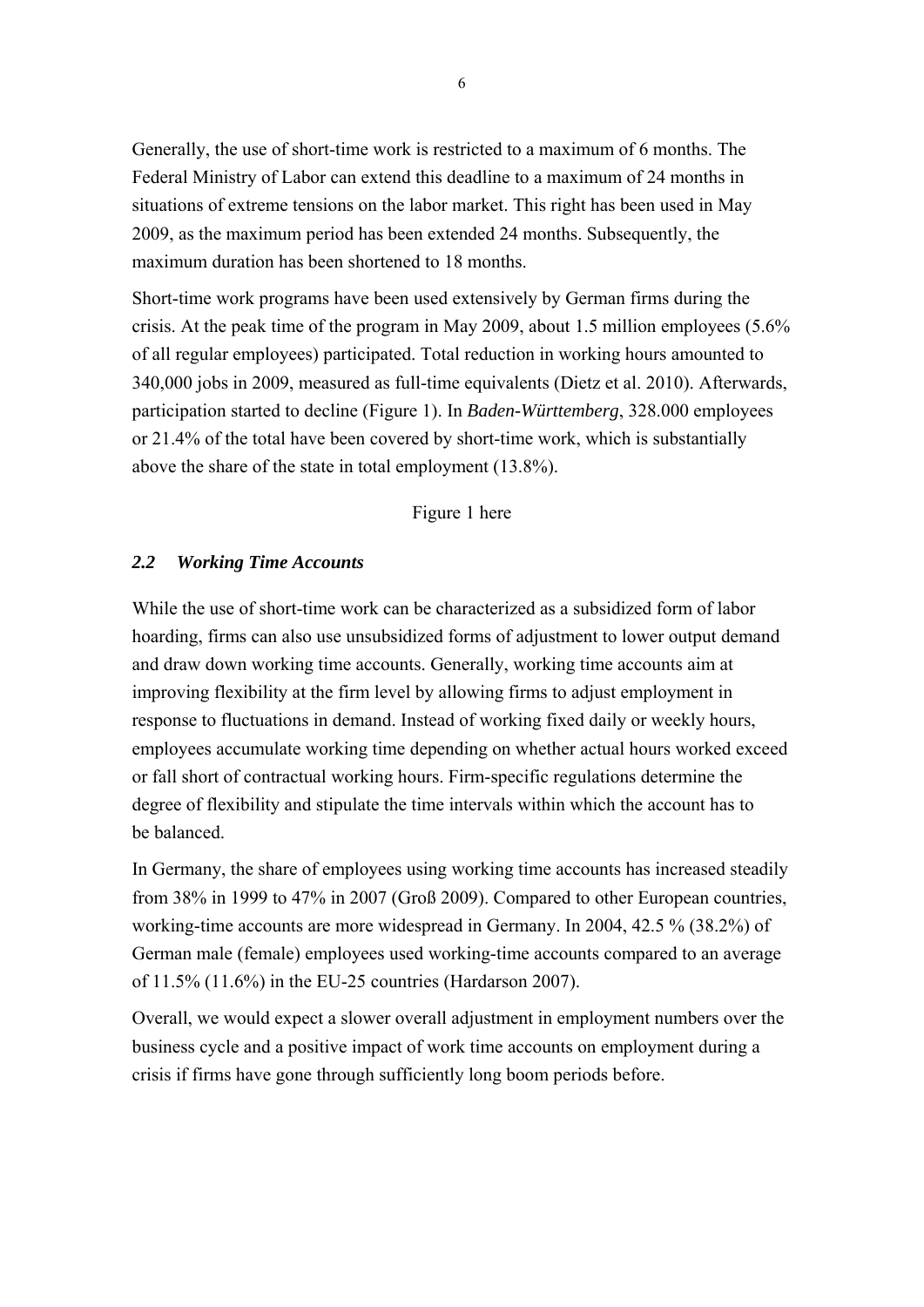Generally, the use of short-time work is restricted to a maximum of 6 months. The Federal Ministry of Labor can extend this deadline to a maximum of 24 months in situations of extreme tensions on the labor market. This right has been used in May 2009, as the maximum period has been extended 24 months. Subsequently, the maximum duration has been shortened to 18 months.

Short-time work programs have been used extensively by German firms during the crisis. At the peak time of the program in May 2009, about 1.5 million employees (5.6% of all regular employees) participated. Total reduction in working hours amounted to 340,000 jobs in 2009, measured as full-time equivalents (Dietz et al. 2010). Afterwards, participation started to decline (Figure 1). In *Baden-Württemberg*, 328.000 employees or 21.4% of the total have been covered by short-time work, which is substantially above the share of the state in total employment (13.8%).

#### Figure 1 here

#### *2.2 Working Time Accounts*

While the use of short-time work can be characterized as a subsidized form of labor hoarding, firms can also use unsubsidized forms of adjustment to lower output demand and draw down working time accounts. Generally, working time accounts aim at improving flexibility at the firm level by allowing firms to adjust employment in response to fluctuations in demand. Instead of working fixed daily or weekly hours, employees accumulate working time depending on whether actual hours worked exceed or fall short of contractual working hours. Firm-specific regulations determine the degree of flexibility and stipulate the time intervals within which the account has to be balanced.

In Germany, the share of employees using working time accounts has increased steadily from 38% in 1999 to 47% in 2007 (Groß 2009). Compared to other European countries, working-time accounts are more widespread in Germany. In 2004, 42.5 % (38.2%) of German male (female) employees used working-time accounts compared to an average of 11.5% (11.6%) in the EU-25 countries (Hardarson 2007).

Overall, we would expect a slower overall adjustment in employment numbers over the business cycle and a positive impact of work time accounts on employment during a crisis if firms have gone through sufficiently long boom periods before.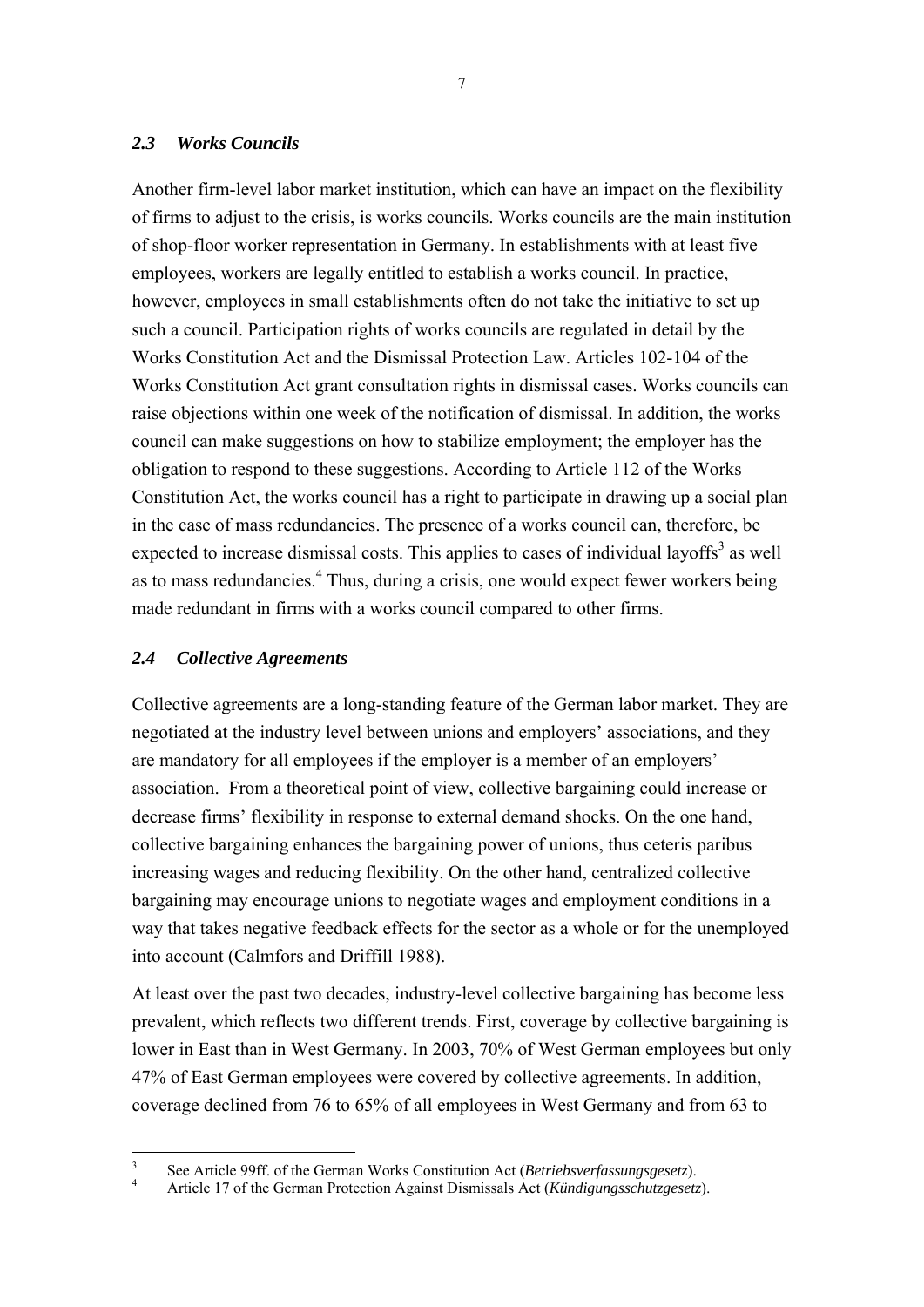#### *2.3 Works Councils*

Another firm-level labor market institution, which can have an impact on the flexibility of firms to adjust to the crisis, is works councils. Works councils are the main institution of shop-floor worker representation in Germany. In establishments with at least five employees, workers are legally entitled to establish a works council. In practice, however, employees in small establishments often do not take the initiative to set up such a council. Participation rights of works councils are regulated in detail by the Works Constitution Act and the Dismissal Protection Law. Articles 102-104 of the Works Constitution Act grant consultation rights in dismissal cases. Works councils can raise objections within one week of the notification of dismissal. In addition, the works council can make suggestions on how to stabilize employment; the employer has the obligation to respond to these suggestions. According to Article 112 of the Works Constitution Act, the works council has a right to participate in drawing up a social plan in the case of mass redundancies. The presence of a works council can, therefore, be expected to increase dismissal costs. This applies to cases of individual layoffs<sup>3</sup> as well as to mass redundancies.<sup>4</sup> Thus, during a crisis, one would expect fewer workers being made redundant in firms with a works council compared to other firms.

#### *2.4 Collective Agreements*

Collective agreements are a long-standing feature of the German labor market. They are negotiated at the industry level between unions and employers' associations, and they are mandatory for all employees if the employer is a member of an employers' association. From a theoretical point of view, collective bargaining could increase or decrease firms' flexibility in response to external demand shocks. On the one hand, collective bargaining enhances the bargaining power of unions, thus ceteris paribus increasing wages and reducing flexibility. On the other hand, centralized collective bargaining may encourage unions to negotiate wages and employment conditions in a way that takes negative feedback effects for the sector as a whole or for the unemployed into account (Calmfors and Driffill 1988).

At least over the past two decades, industry-level collective bargaining has become less prevalent, which reflects two different trends. First, coverage by collective bargaining is lower in East than in West Germany. In 2003, 70% of West German employees but only 47% of East German employees were covered by collective agreements. In addition, coverage declined from 76 to 65% of all employees in West Germany and from 63 to

 $\frac{1}{3}$ See Article 99ff. of the German Works Constitution Act (*Betriebsverfassungsgesetz*).

Article 17 of the German Protection Against Dismissals Act (*Kündigungsschutzgesetz*).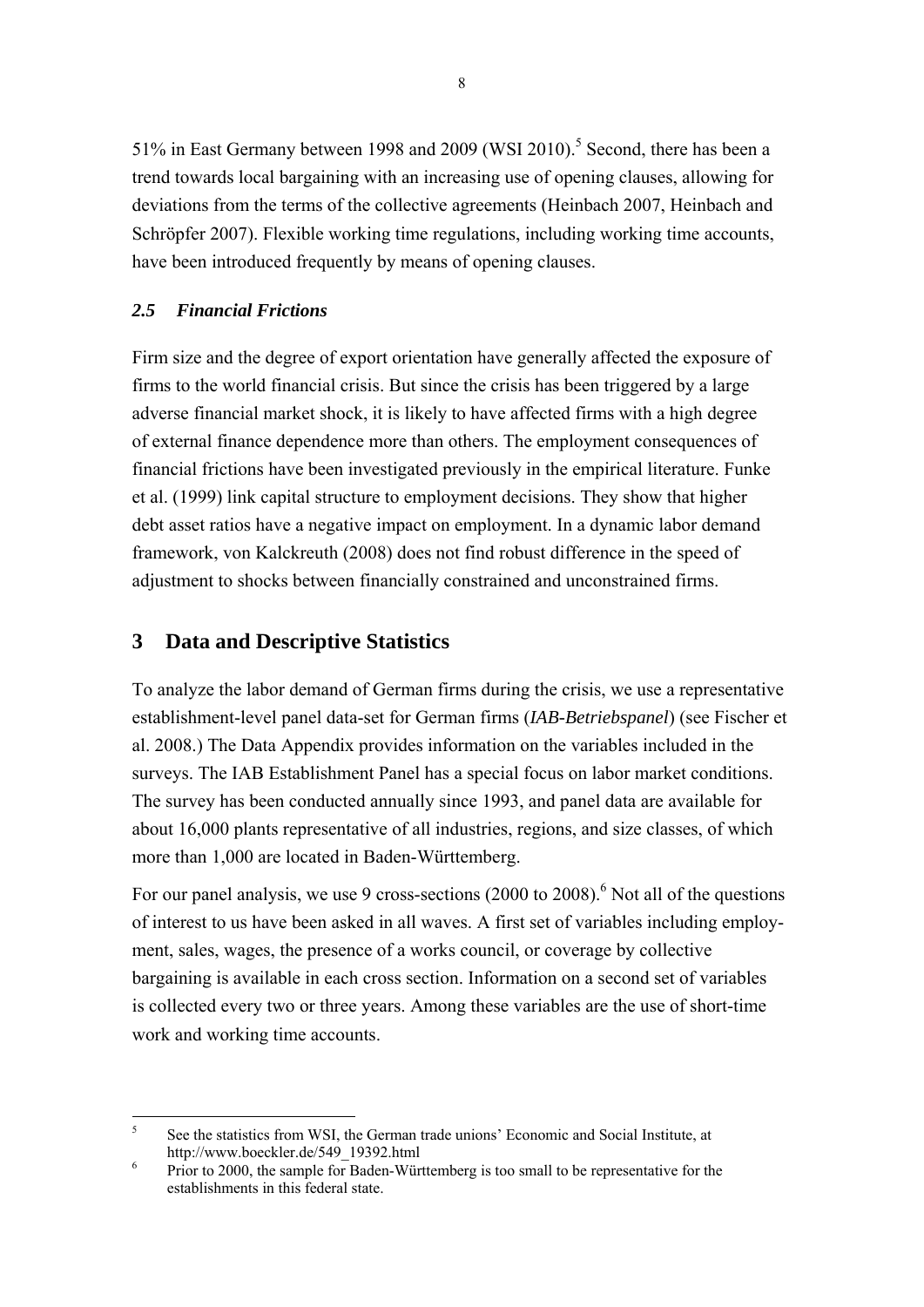51% in East Germany between 1998 and 2009 (WSI 2010).<sup>5</sup> Second, there has been a trend towards local bargaining with an increasing use of opening clauses, allowing for deviations from the terms of the collective agreements (Heinbach 2007, Heinbach and Schröpfer 2007). Flexible working time regulations, including working time accounts, have been introduced frequently by means of opening clauses.

### *2.5 Financial Frictions*

Firm size and the degree of export orientation have generally affected the exposure of firms to the world financial crisis. But since the crisis has been triggered by a large adverse financial market shock, it is likely to have affected firms with a high degree of external finance dependence more than others. The employment consequences of financial frictions have been investigated previously in the empirical literature. Funke et al. (1999) link capital structure to employment decisions. They show that higher debt asset ratios have a negative impact on employment. In a dynamic labor demand framework, von Kalckreuth (2008) does not find robust difference in the speed of adjustment to shocks between financially constrained and unconstrained firms.

### **3 Data and Descriptive Statistics**

To analyze the labor demand of German firms during the crisis, we use a representative establishment-level panel data-set for German firms (*IAB-Betriebspanel*) (see Fischer et al. 2008.) The Data Appendix provides information on the variables included in the surveys. The IAB Establishment Panel has a special focus on labor market conditions. The survey has been conducted annually since 1993, and panel data are available for about 16,000 plants representative of all industries, regions, and size classes, of which more than 1,000 are located in Baden-Württemberg.

For our panel analysis, we use 9 cross-sections  $(2000 \text{ to } 2008)$ .<sup>6</sup> Not all of the questions of interest to us have been asked in all waves. A first set of variables including employment, sales, wages, the presence of a works council, or coverage by collective bargaining is available in each cross section. Information on a second set of variables is collected every two or three years. Among these variables are the use of short-time work and working time accounts.

 $\frac{1}{5}$  See the statistics from WSI, the German trade unions' Economic and Social Institute, at http://www.boeckler.de/549\_19392.html

Prior to 2000, the sample for Baden-Württemberg is too small to be representative for the establishments in this federal state.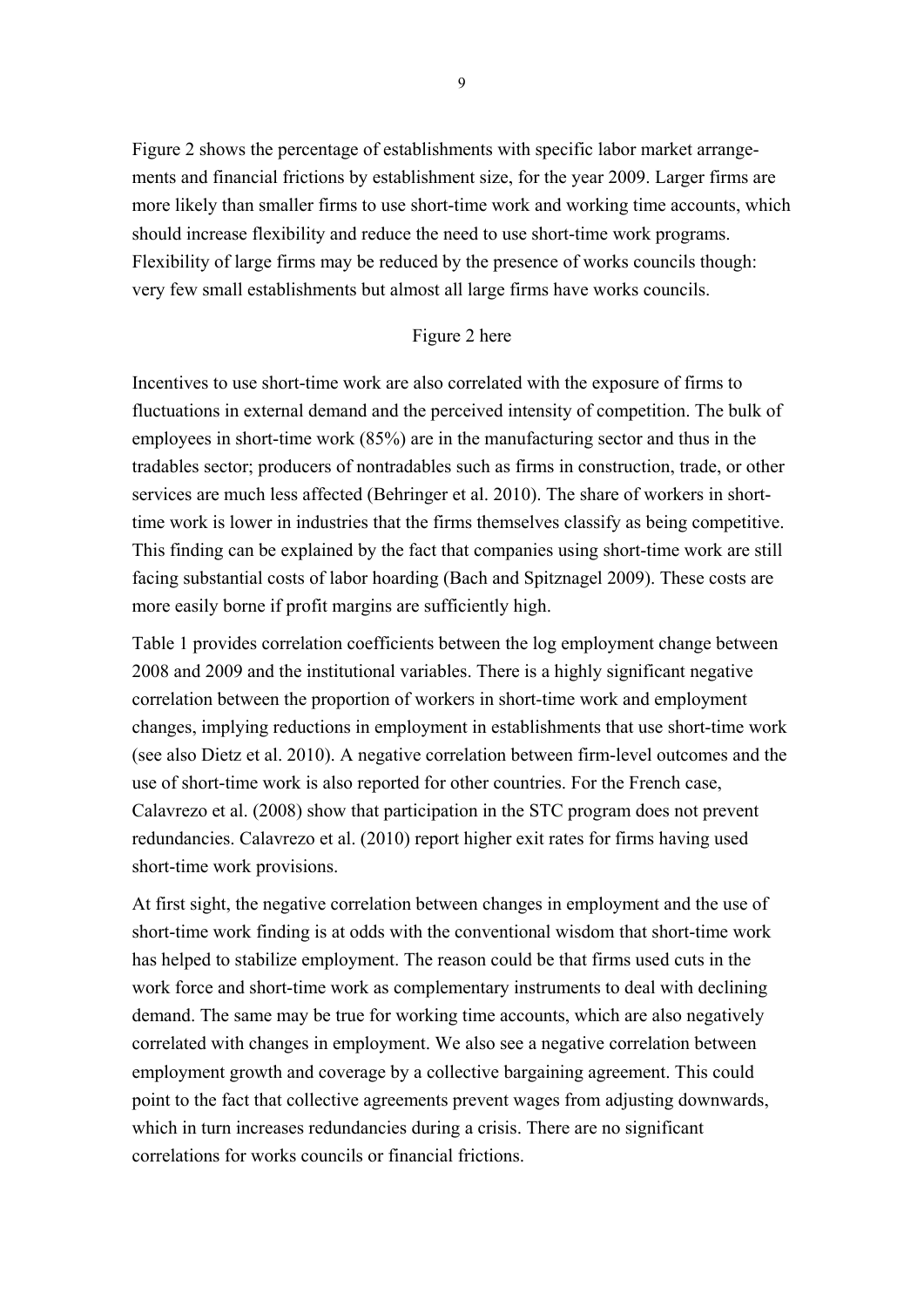Figure 2 shows the percentage of establishments with specific labor market arrangements and financial frictions by establishment size, for the year 2009. Larger firms are more likely than smaller firms to use short-time work and working time accounts, which should increase flexibility and reduce the need to use short-time work programs. Flexibility of large firms may be reduced by the presence of works councils though: very few small establishments but almost all large firms have works councils.

#### Figure 2 here

Incentives to use short-time work are also correlated with the exposure of firms to fluctuations in external demand and the perceived intensity of competition. The bulk of employees in short-time work (85%) are in the manufacturing sector and thus in the tradables sector; producers of nontradables such as firms in construction, trade, or other services are much less affected (Behringer et al. 2010). The share of workers in shorttime work is lower in industries that the firms themselves classify as being competitive. This finding can be explained by the fact that companies using short-time work are still facing substantial costs of labor hoarding (Bach and Spitznagel 2009). These costs are more easily borne if profit margins are sufficiently high.

Table 1 provides correlation coefficients between the log employment change between 2008 and 2009 and the institutional variables. There is a highly significant negative correlation between the proportion of workers in short-time work and employment changes, implying reductions in employment in establishments that use short-time work (see also Dietz et al. 2010). A negative correlation between firm-level outcomes and the use of short-time work is also reported for other countries. For the French case, Calavrezo et al. (2008) show that participation in the STC program does not prevent redundancies. Calavrezo et al. (2010) report higher exit rates for firms having used short-time work provisions.

At first sight, the negative correlation between changes in employment and the use of short-time work finding is at odds with the conventional wisdom that short-time work has helped to stabilize employment. The reason could be that firms used cuts in the work force and short-time work as complementary instruments to deal with declining demand. The same may be true for working time accounts, which are also negatively correlated with changes in employment. We also see a negative correlation between employment growth and coverage by a collective bargaining agreement. This could point to the fact that collective agreements prevent wages from adjusting downwards, which in turn increases redundancies during a crisis. There are no significant correlations for works councils or financial frictions.

9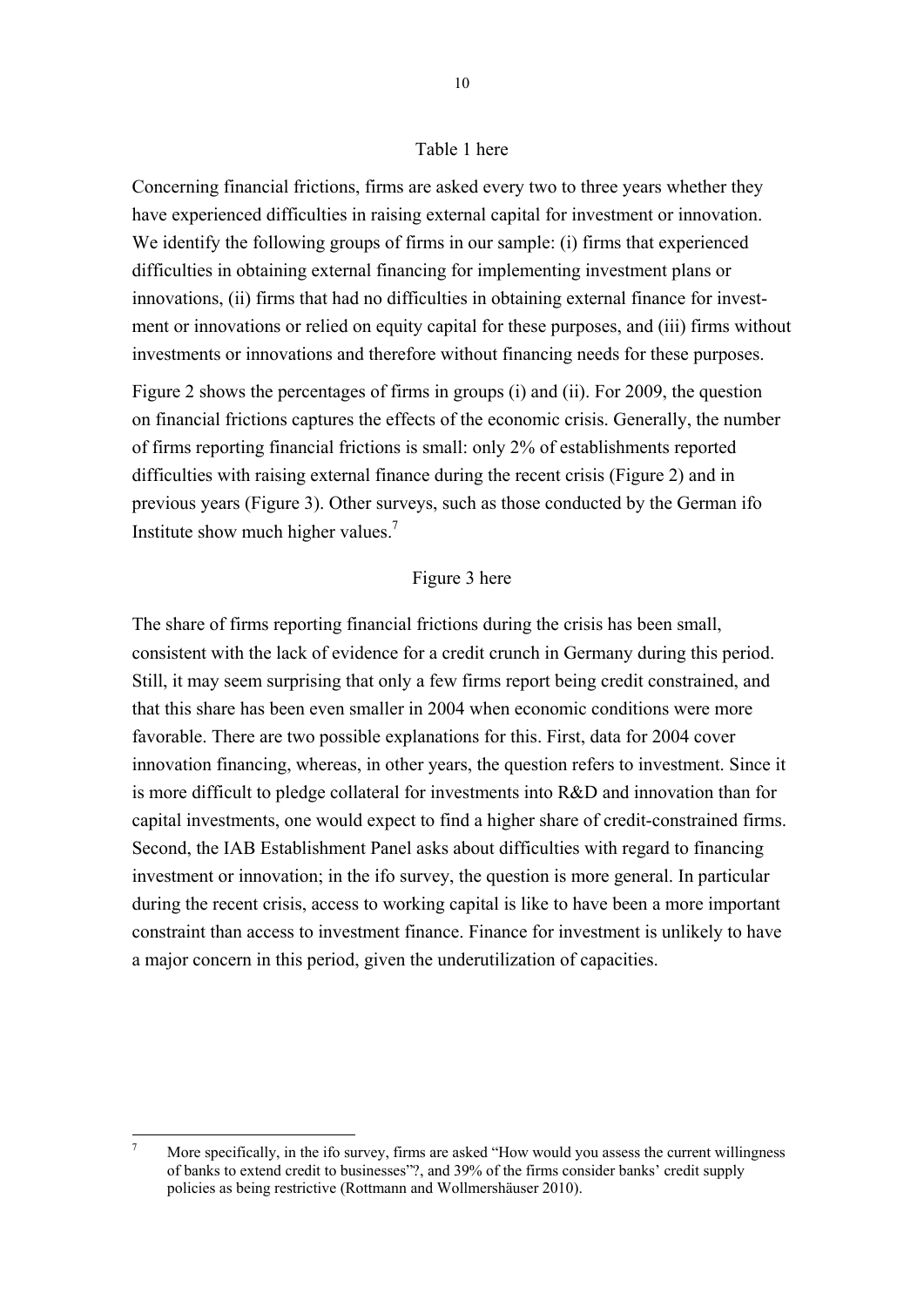#### Table 1 here

Concerning financial frictions, firms are asked every two to three years whether they have experienced difficulties in raising external capital for investment or innovation. We identify the following groups of firms in our sample: (i) firms that experienced difficulties in obtaining external financing for implementing investment plans or innovations, (ii) firms that had no difficulties in obtaining external finance for investment or innovations or relied on equity capital for these purposes, and (iii) firms without investments or innovations and therefore without financing needs for these purposes.

Figure 2 shows the percentages of firms in groups (i) and (ii). For 2009, the question on financial frictions captures the effects of the economic crisis. Generally, the number of firms reporting financial frictions is small: only 2% of establishments reported difficulties with raising external finance during the recent crisis (Figure 2) and in previous years (Figure 3). Other surveys, such as those conducted by the German ifo Institute show much higher values.<sup>7</sup>

#### Figure 3 here

The share of firms reporting financial frictions during the crisis has been small, consistent with the lack of evidence for a credit crunch in Germany during this period. Still, it may seem surprising that only a few firms report being credit constrained, and that this share has been even smaller in 2004 when economic conditions were more favorable. There are two possible explanations for this. First, data for 2004 cover innovation financing, whereas, in other years, the question refers to investment. Since it is more difficult to pledge collateral for investments into R&D and innovation than for capital investments, one would expect to find a higher share of credit-constrained firms. Second, the IAB Establishment Panel asks about difficulties with regard to financing investment or innovation; in the ifo survey, the question is more general. In particular during the recent crisis, access to working capital is like to have been a more important constraint than access to investment finance. Finance for investment is unlikely to have a major concern in this period, given the underutilization of capacities.

 $\frac{1}{7}$  More specifically, in the ifo survey, firms are asked "How would you assess the current willingness of banks to extend credit to businesses"?, and 39% of the firms consider banks' credit supply policies as being restrictive (Rottmann and Wollmershäuser 2010).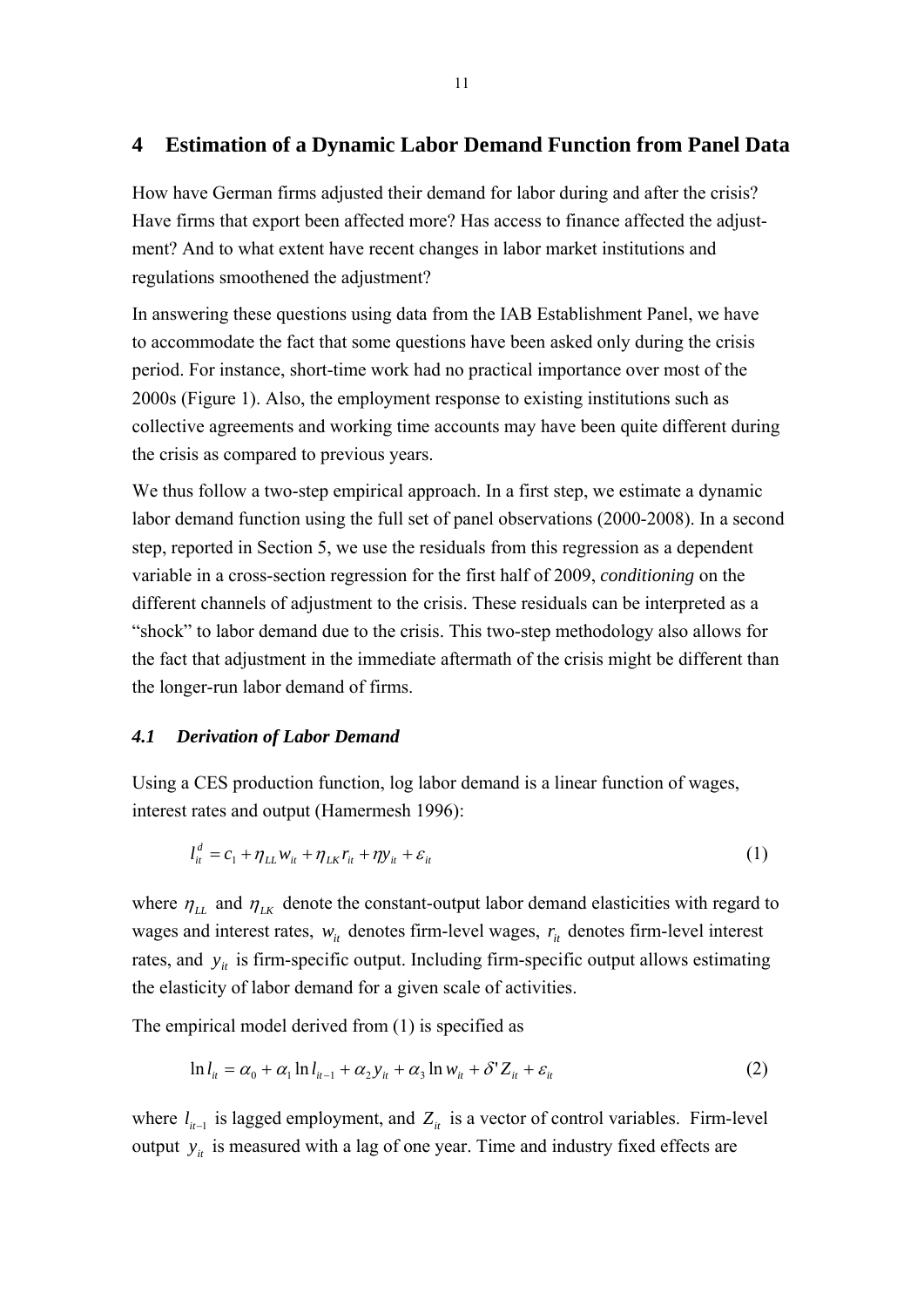## **4 Estimation of a Dynamic Labor Demand Function from Panel Data**

How have German firms adjusted their demand for labor during and after the crisis? Have firms that export been affected more? Has access to finance affected the adjustment? And to what extent have recent changes in labor market institutions and regulations smoothened the adjustment?

In answering these questions using data from the IAB Establishment Panel, we have to accommodate the fact that some questions have been asked only during the crisis period. For instance, short-time work had no practical importance over most of the 2000s (Figure 1). Also, the employment response to existing institutions such as collective agreements and working time accounts may have been quite different during the crisis as compared to previous years.

We thus follow a two-step empirical approach. In a first step, we estimate a dynamic labor demand function using the full set of panel observations (2000-2008). In a second step, reported in Section 5, we use the residuals from this regression as a dependent variable in a cross-section regression for the first half of 2009, *conditioning* on the different channels of adjustment to the crisis. These residuals can be interpreted as a "shock" to labor demand due to the crisis. This two-step methodology also allows for the fact that adjustment in the immediate aftermath of the crisis might be different than the longer-run labor demand of firms.

#### *4.1 Derivation of Labor Demand*

Using a CES production function, log labor demand is a linear function of wages, interest rates and output (Hamermesh 1996):

$$
l_{it}^d = c_1 + \eta_{LL} w_{it} + \eta_{LK} r_{it} + \eta y_{it} + \varepsilon_{it}
$$
\n<sup>(1)</sup>

where  $\eta_{LL}$  and  $\eta_{LK}$  denote the constant-output labor demand elasticities with regard to wages and interest rates,  $w_{it}$  denotes firm-level wages,  $r_{it}$  denotes firm-level interest rates, and  $y_{it}$  is firm-specific output. Including firm-specific output allows estimating the elasticity of labor demand for a given scale of activities.

The empirical model derived from (1) is specified as

$$
\ln l_{it} = \alpha_0 + \alpha_1 \ln l_{it-1} + \alpha_2 y_{it} + \alpha_3 \ln w_{it} + \delta' Z_{it} + \varepsilon_{it}
$$
\n<sup>(2)</sup>

where  $l_{i-1}$  is lagged employment, and  $Z_{i}$  is a vector of control variables. Firm-level output  $y_{it}$  is measured with a lag of one year. Time and industry fixed effects are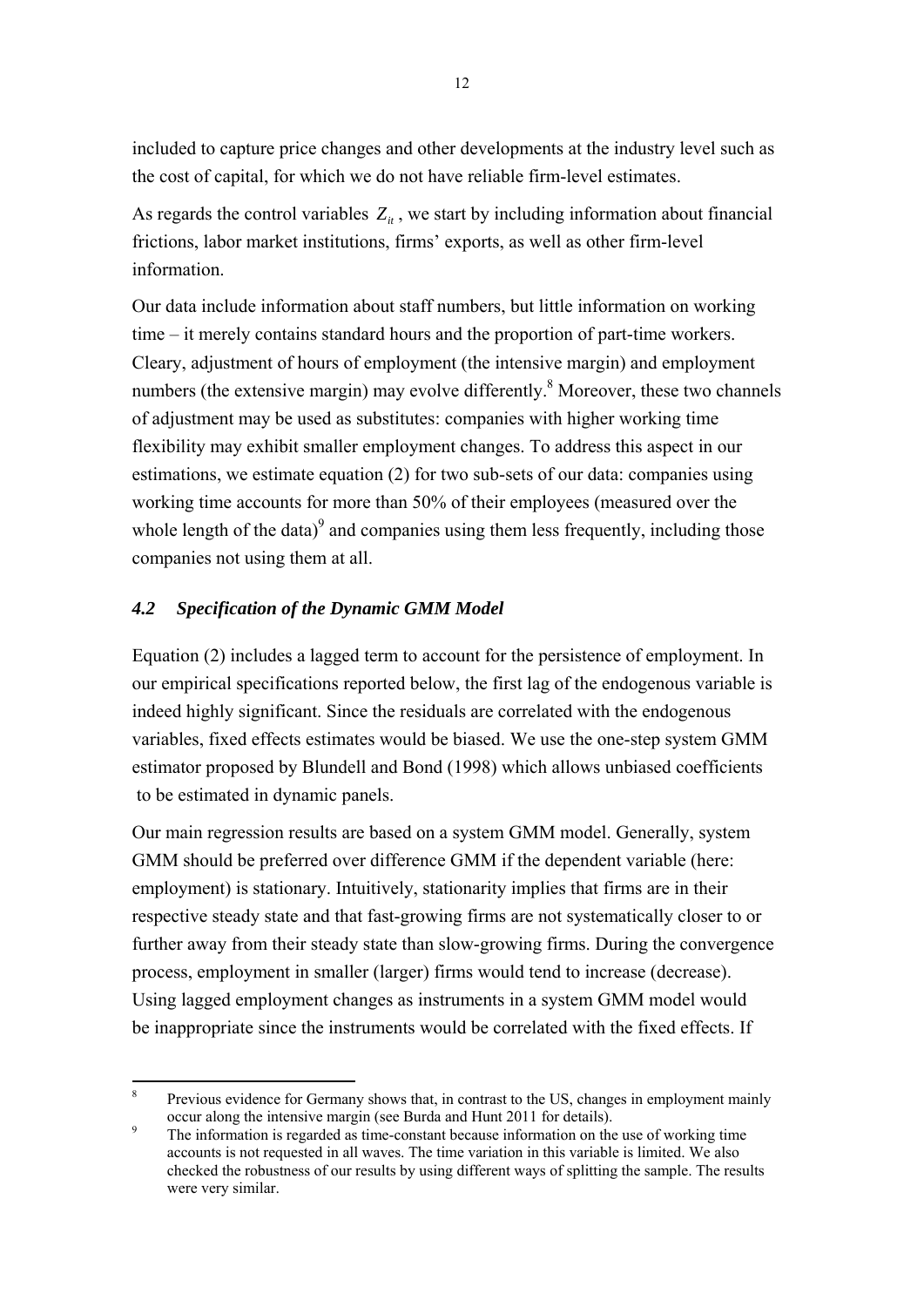included to capture price changes and other developments at the industry level such as the cost of capital, for which we do not have reliable firm-level estimates.

As regards the control variables  $Z_{it}$ , we start by including information about financial frictions, labor market institutions, firms' exports, as well as other firm-level information.

Our data include information about staff numbers, but little information on working time – it merely contains standard hours and the proportion of part-time workers. Cleary, adjustment of hours of employment (the intensive margin) and employment numbers (the extensive margin) may evolve differently.<sup>8</sup> Moreover, these two channels of adjustment may be used as substitutes: companies with higher working time flexibility may exhibit smaller employment changes. To address this aspect in our estimations, we estimate equation (2) for two sub-sets of our data: companies using working time accounts for more than 50% of their employees (measured over the whole length of the data) $\degree$  and companies using them less frequently, including those companies not using them at all.

### *4.2 Specification of the Dynamic GMM Model*

1

Equation (2) includes a lagged term to account for the persistence of employment. In our empirical specifications reported below, the first lag of the endogenous variable is indeed highly significant. Since the residuals are correlated with the endogenous variables, fixed effects estimates would be biased. We use the one-step system GMM estimator proposed by Blundell and Bond (1998) which allows unbiased coefficients to be estimated in dynamic panels.

Our main regression results are based on a system GMM model. Generally, system GMM should be preferred over difference GMM if the dependent variable (here: employment) is stationary. Intuitively, stationarity implies that firms are in their respective steady state and that fast-growing firms are not systematically closer to or further away from their steady state than slow-growing firms. During the convergence process, employment in smaller (larger) firms would tend to increase (decrease). Using lagged employment changes as instruments in a system GMM model would be inappropriate since the instruments would be correlated with the fixed effects. If

<sup>8</sup> Previous evidence for Germany shows that, in contrast to the US, changes in employment mainly occur along the intensive margin (see Burda and Hunt 2011 for details).

The information is regarded as time-constant because information on the use of working time accounts is not requested in all waves. The time variation in this variable is limited. We also checked the robustness of our results by using different ways of splitting the sample. The results were very similar.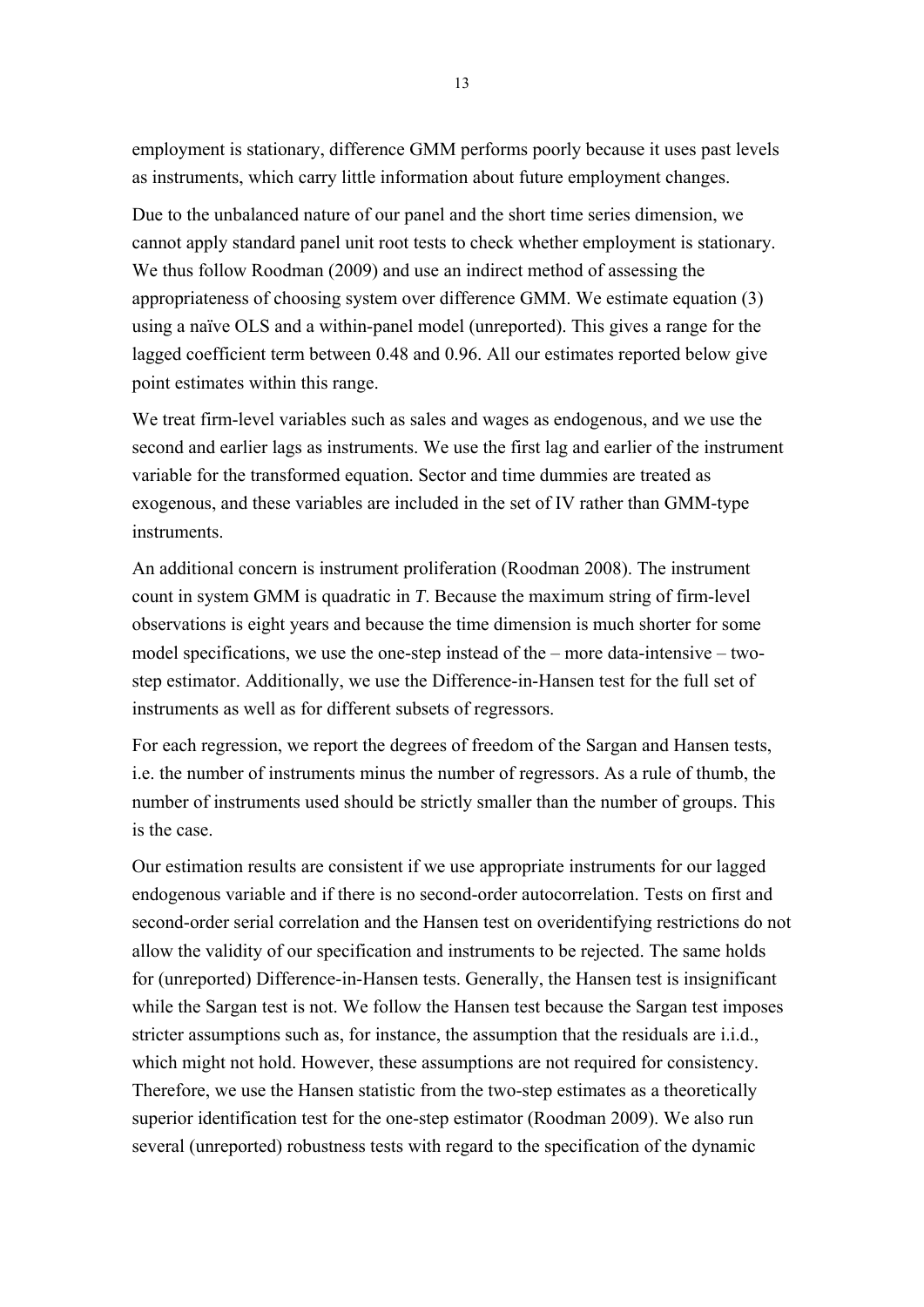employment is stationary, difference GMM performs poorly because it uses past levels as instruments, which carry little information about future employment changes.

Due to the unbalanced nature of our panel and the short time series dimension, we cannot apply standard panel unit root tests to check whether employment is stationary. We thus follow Roodman (2009) and use an indirect method of assessing the appropriateness of choosing system over difference GMM. We estimate equation (3) using a naïve OLS and a within-panel model (unreported). This gives a range for the lagged coefficient term between 0.48 and 0.96. All our estimates reported below give point estimates within this range.

We treat firm-level variables such as sales and wages as endogenous, and we use the second and earlier lags as instruments. We use the first lag and earlier of the instrument variable for the transformed equation. Sector and time dummies are treated as exogenous, and these variables are included in the set of IV rather than GMM-type instruments.

An additional concern is instrument proliferation (Roodman 2008). The instrument count in system GMM is quadratic in *T*. Because the maximum string of firm-level observations is eight years and because the time dimension is much shorter for some model specifications, we use the one-step instead of the – more data-intensive – twostep estimator. Additionally, we use the Difference-in-Hansen test for the full set of instruments as well as for different subsets of regressors.

For each regression, we report the degrees of freedom of the Sargan and Hansen tests, i.e. the number of instruments minus the number of regressors. As a rule of thumb, the number of instruments used should be strictly smaller than the number of groups. This is the case.

Our estimation results are consistent if we use appropriate instruments for our lagged endogenous variable and if there is no second-order autocorrelation. Tests on first and second-order serial correlation and the Hansen test on overidentifying restrictions do not allow the validity of our specification and instruments to be rejected. The same holds for (unreported) Difference-in-Hansen tests. Generally, the Hansen test is insignificant while the Sargan test is not. We follow the Hansen test because the Sargan test imposes stricter assumptions such as, for instance, the assumption that the residuals are i.i.d., which might not hold. However, these assumptions are not required for consistency. Therefore, we use the Hansen statistic from the two-step estimates as a theoretically superior identification test for the one-step estimator (Roodman 2009). We also run several (unreported) robustness tests with regard to the specification of the dynamic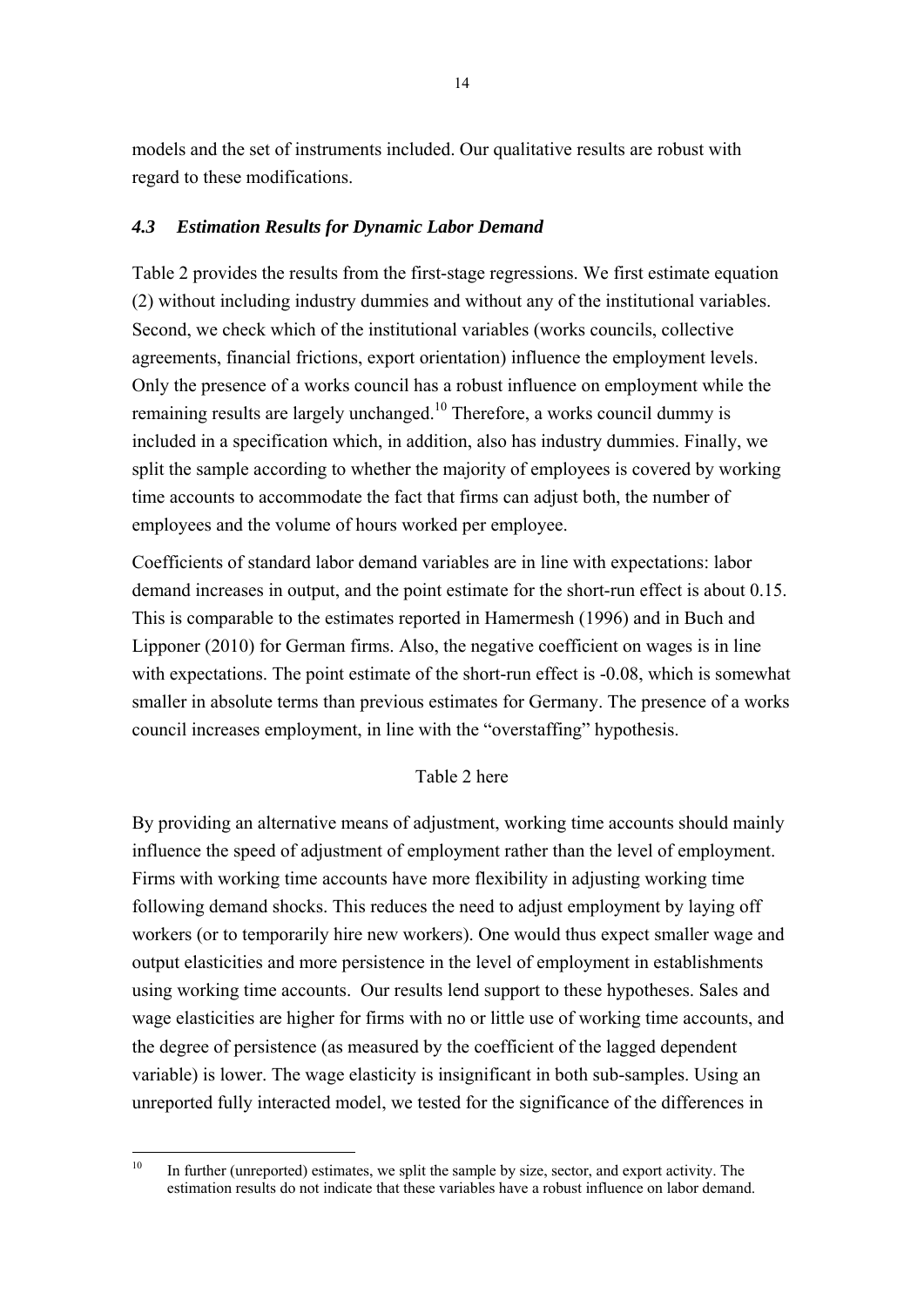models and the set of instruments included. Our qualitative results are robust with regard to these modifications.

#### *4.3 Estimation Results for Dynamic Labor Demand*

Table 2 provides the results from the first-stage regressions. We first estimate equation (2) without including industry dummies and without any of the institutional variables. Second, we check which of the institutional variables (works councils, collective agreements, financial frictions, export orientation) influence the employment levels. Only the presence of a works council has a robust influence on employment while the remaining results are largely unchanged.<sup>10</sup> Therefore, a works council dummy is included in a specification which, in addition, also has industry dummies. Finally, we split the sample according to whether the majority of employees is covered by working time accounts to accommodate the fact that firms can adjust both, the number of employees and the volume of hours worked per employee.

Coefficients of standard labor demand variables are in line with expectations: labor demand increases in output, and the point estimate for the short-run effect is about 0.15. This is comparable to the estimates reported in Hamermesh (1996) and in Buch and Lipponer (2010) for German firms. Also, the negative coefficient on wages is in line with expectations. The point estimate of the short-run effect is  $-0.08$ , which is somewhat smaller in absolute terms than previous estimates for Germany. The presence of a works council increases employment, in line with the "overstaffing" hypothesis.

#### Table 2 here

By providing an alternative means of adjustment, working time accounts should mainly influence the speed of adjustment of employment rather than the level of employment. Firms with working time accounts have more flexibility in adjusting working time following demand shocks. This reduces the need to adjust employment by laying off workers (or to temporarily hire new workers). One would thus expect smaller wage and output elasticities and more persistence in the level of employment in establishments using working time accounts. Our results lend support to these hypotheses. Sales and wage elasticities are higher for firms with no or little use of working time accounts, and the degree of persistence (as measured by the coefficient of the lagged dependent variable) is lower. The wage elasticity is insignificant in both sub-samples. Using an unreported fully interacted model, we tested for the significance of the differences in

 $10$ In further (unreported) estimates, we split the sample by size, sector, and export activity. The estimation results do not indicate that these variables have a robust influence on labor demand.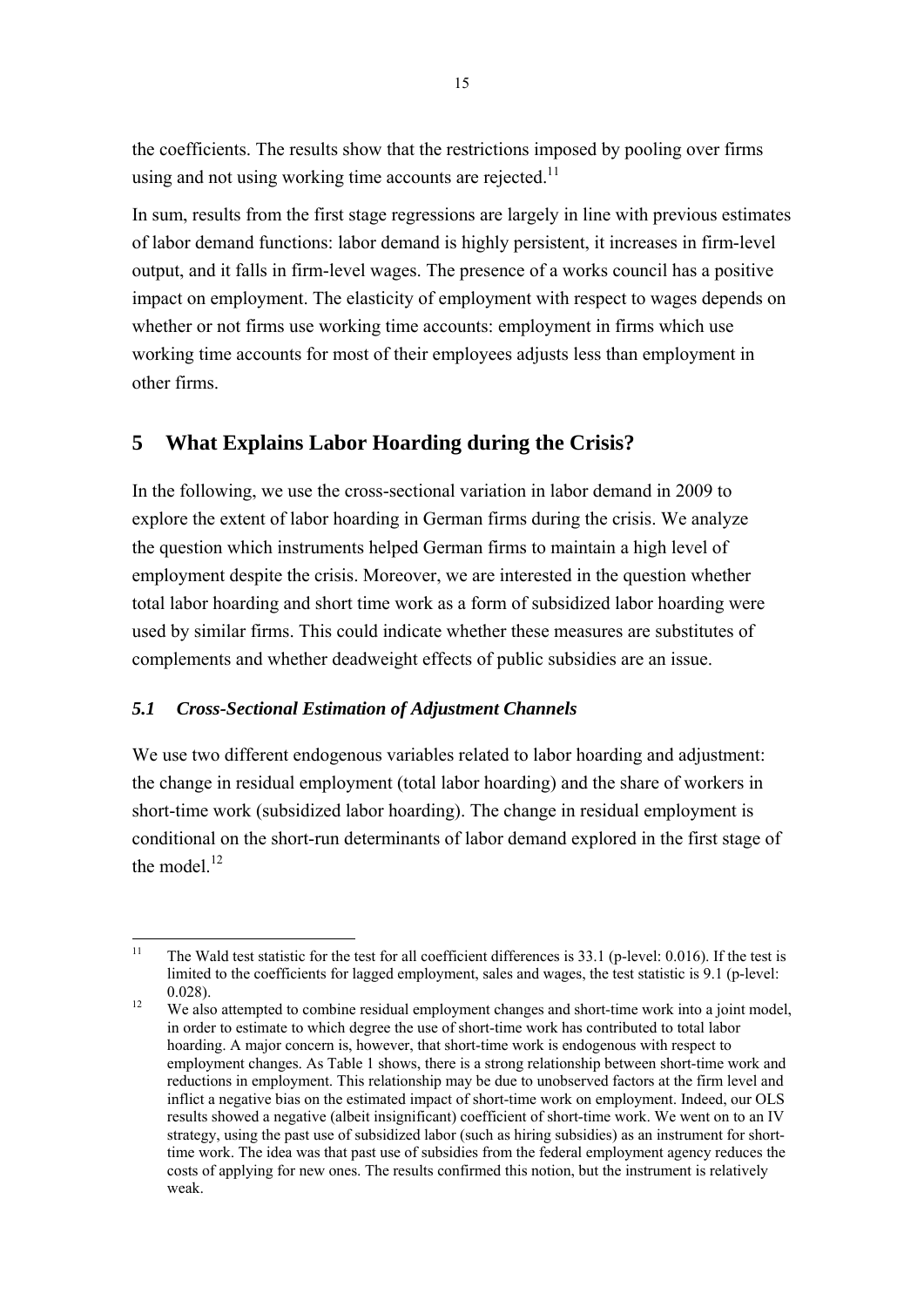the coefficients. The results show that the restrictions imposed by pooling over firms using and not using working time accounts are rejected. $11$ 

In sum, results from the first stage regressions are largely in line with previous estimates of labor demand functions: labor demand is highly persistent, it increases in firm-level output, and it falls in firm-level wages. The presence of a works council has a positive impact on employment. The elasticity of employment with respect to wages depends on whether or not firms use working time accounts: employment in firms which use working time accounts for most of their employees adjusts less than employment in other firms.

# **5 What Explains Labor Hoarding during the Crisis?**

In the following, we use the cross-sectional variation in labor demand in 2009 to explore the extent of labor hoarding in German firms during the crisis. We analyze the question which instruments helped German firms to maintain a high level of employment despite the crisis. Moreover, we are interested in the question whether total labor hoarding and short time work as a form of subsidized labor hoarding were used by similar firms. This could indicate whether these measures are substitutes of complements and whether deadweight effects of public subsidies are an issue.

## *5.1 Cross-Sectional Estimation of Adjustment Channels*

We use two different endogenous variables related to labor hoarding and adjustment: the change in residual employment (total labor hoarding) and the share of workers in short-time work (subsidized labor hoarding). The change in residual employment is conditional on the short-run determinants of labor demand explored in the first stage of the model $^{12}$ 

 $11$ 11 The Wald test statistic for the test for all coefficient differences is 33.1 (p-level: 0.016). If the test is limited to the coefficients for lagged employment, sales and wages, the test statistic is 9.1 (p-level: 0.028).<br><sup>12</sup> We also attempted to combine residual employment changes and short-time work into a joint model,

in order to estimate to which degree the use of short-time work has contributed to total labor hoarding. A major concern is, however, that short-time work is endogenous with respect to employment changes. As Table 1 shows, there is a strong relationship between short-time work and reductions in employment. This relationship may be due to unobserved factors at the firm level and inflict a negative bias on the estimated impact of short-time work on employment. Indeed, our OLS results showed a negative (albeit insignificant) coefficient of short-time work. We went on to an IV strategy, using the past use of subsidized labor (such as hiring subsidies) as an instrument for shorttime work. The idea was that past use of subsidies from the federal employment agency reduces the costs of applying for new ones. The results confirmed this notion, but the instrument is relatively weak.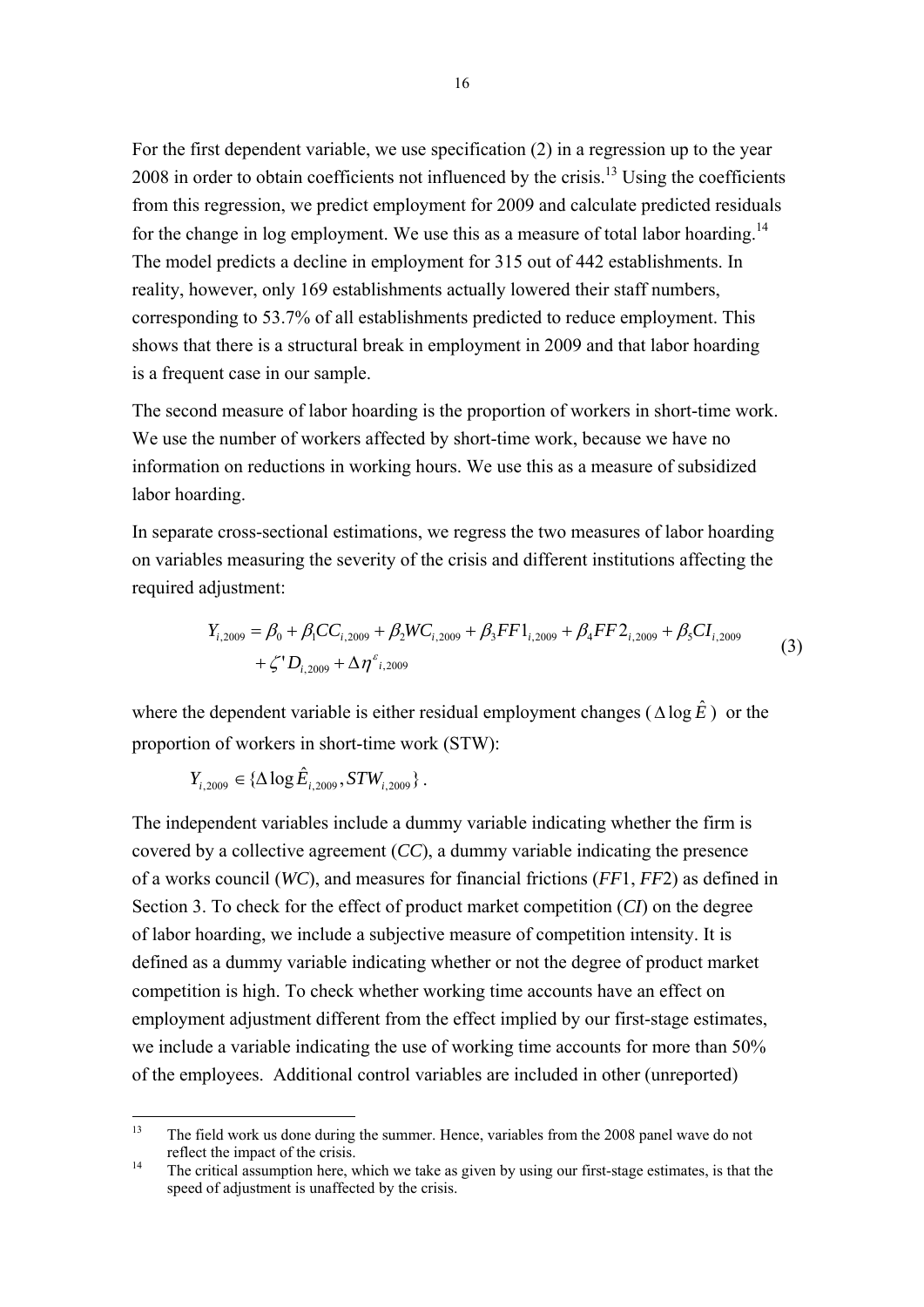For the first dependent variable, we use specification (2) in a regression up to the year 2008 in order to obtain coefficients not influenced by the crisis.<sup>13</sup> Using the coefficients from this regression, we predict employment for 2009 and calculate predicted residuals for the change in log employment. We use this as a measure of total labor hoarding.<sup>14</sup> The model predicts a decline in employment for 315 out of 442 establishments. In reality, however, only 169 establishments actually lowered their staff numbers, corresponding to 53.7% of all establishments predicted to reduce employment. This shows that there is a structural break in employment in 2009 and that labor hoarding is a frequent case in our sample.

The second measure of labor hoarding is the proportion of workers in short-time work. We use the number of workers affected by short-time work, because we have no information on reductions in working hours. We use this as a measure of subsidized labor hoarding.

In separate cross-sectional estimations, we regress the two measures of labor hoarding on variables measuring the severity of the crisis and different institutions affecting the required adjustment:

$$
Y_{i,2009} = \beta_0 + \beta_1 CC_{i,2009} + \beta_2 WC_{i,2009} + \beta_3 FF1_{i,2009} + \beta_4 FF2_{i,2009} + \beta_5 CI_{i,2009} + \zeta' D_{i,2009} + \Delta \eta^2_{i,2009}
$$
\n(3)

where the dependent variable is either residual employment changes ( $\triangle \log \hat{E}$ ) or the proportion of workers in short-time work (STW):

 $Y_{i, 2009} \in {\{\Delta \log \hat{E}_{i, 2009}, STW_{i, 2009}}$ .

The independent variables include a dummy variable indicating whether the firm is covered by a collective agreement (*CC*), a dummy variable indicating the presence of a works council (*WC*), and measures for financial frictions (*FF*1, *FF*2) as defined in Section 3. To check for the effect of product market competition (*CI*) on the degree of labor hoarding, we include a subjective measure of competition intensity. It is defined as a dummy variable indicating whether or not the degree of product market competition is high. To check whether working time accounts have an effect on employment adjustment different from the effect implied by our first-stage estimates, we include a variable indicating the use of working time accounts for more than 50% of the employees. Additional control variables are included in other (unreported)

 $13$ 13 The field work us done during the summer. Hence, variables from the 2008 panel wave do not reflect the impact of the crisis.<br><sup>14</sup> The critical assumption here, which we take as given by using our first-stage estimates, is that the

speed of adjustment is unaffected by the crisis.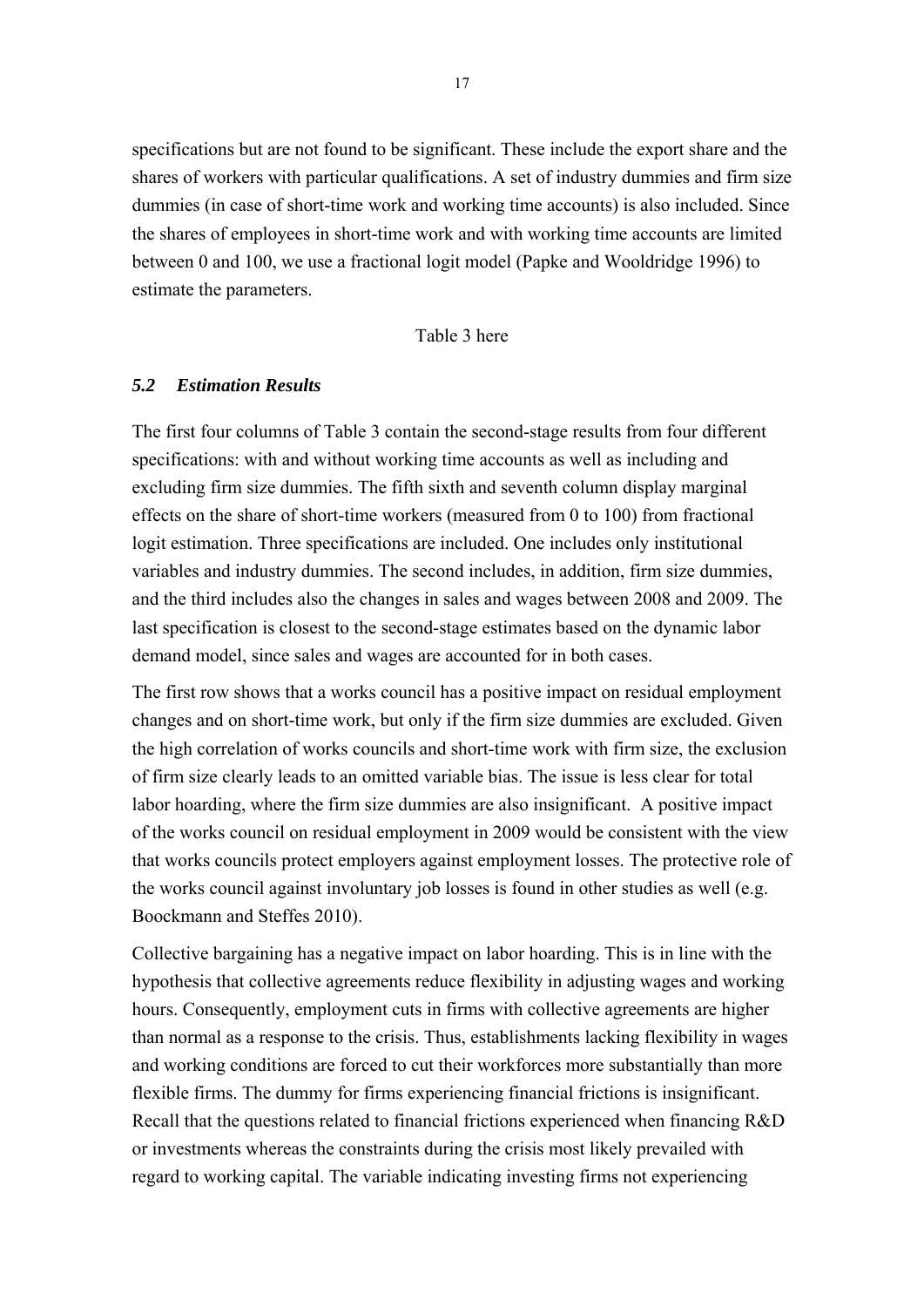specifications but are not found to be significant. These include the export share and the shares of workers with particular qualifications. A set of industry dummies and firm size dummies (in case of short-time work and working time accounts) is also included. Since the shares of employees in short-time work and with working time accounts are limited between 0 and 100, we use a fractional logit model (Papke and Wooldridge 1996) to estimate the parameters.

Table 3 here

#### *5.2 Estimation Results*

The first four columns of Table 3 contain the second-stage results from four different specifications: with and without working time accounts as well as including and excluding firm size dummies. The fifth sixth and seventh column display marginal effects on the share of short-time workers (measured from 0 to 100) from fractional logit estimation. Three specifications are included. One includes only institutional variables and industry dummies. The second includes, in addition, firm size dummies, and the third includes also the changes in sales and wages between 2008 and 2009. The last specification is closest to the second-stage estimates based on the dynamic labor demand model, since sales and wages are accounted for in both cases.

The first row shows that a works council has a positive impact on residual employment changes and on short-time work, but only if the firm size dummies are excluded. Given the high correlation of works councils and short-time work with firm size, the exclusion of firm size clearly leads to an omitted variable bias. The issue is less clear for total labor hoarding, where the firm size dummies are also insignificant. A positive impact of the works council on residual employment in 2009 would be consistent with the view that works councils protect employers against employment losses. The protective role of the works council against involuntary job losses is found in other studies as well (e.g. Boockmann and Steffes 2010).

Collective bargaining has a negative impact on labor hoarding. This is in line with the hypothesis that collective agreements reduce flexibility in adjusting wages and working hours. Consequently, employment cuts in firms with collective agreements are higher than normal as a response to the crisis. Thus, establishments lacking flexibility in wages and working conditions are forced to cut their workforces more substantially than more flexible firms. The dummy for firms experiencing financial frictions is insignificant. Recall that the questions related to financial frictions experienced when financing R&D or investments whereas the constraints during the crisis most likely prevailed with regard to working capital. The variable indicating investing firms not experiencing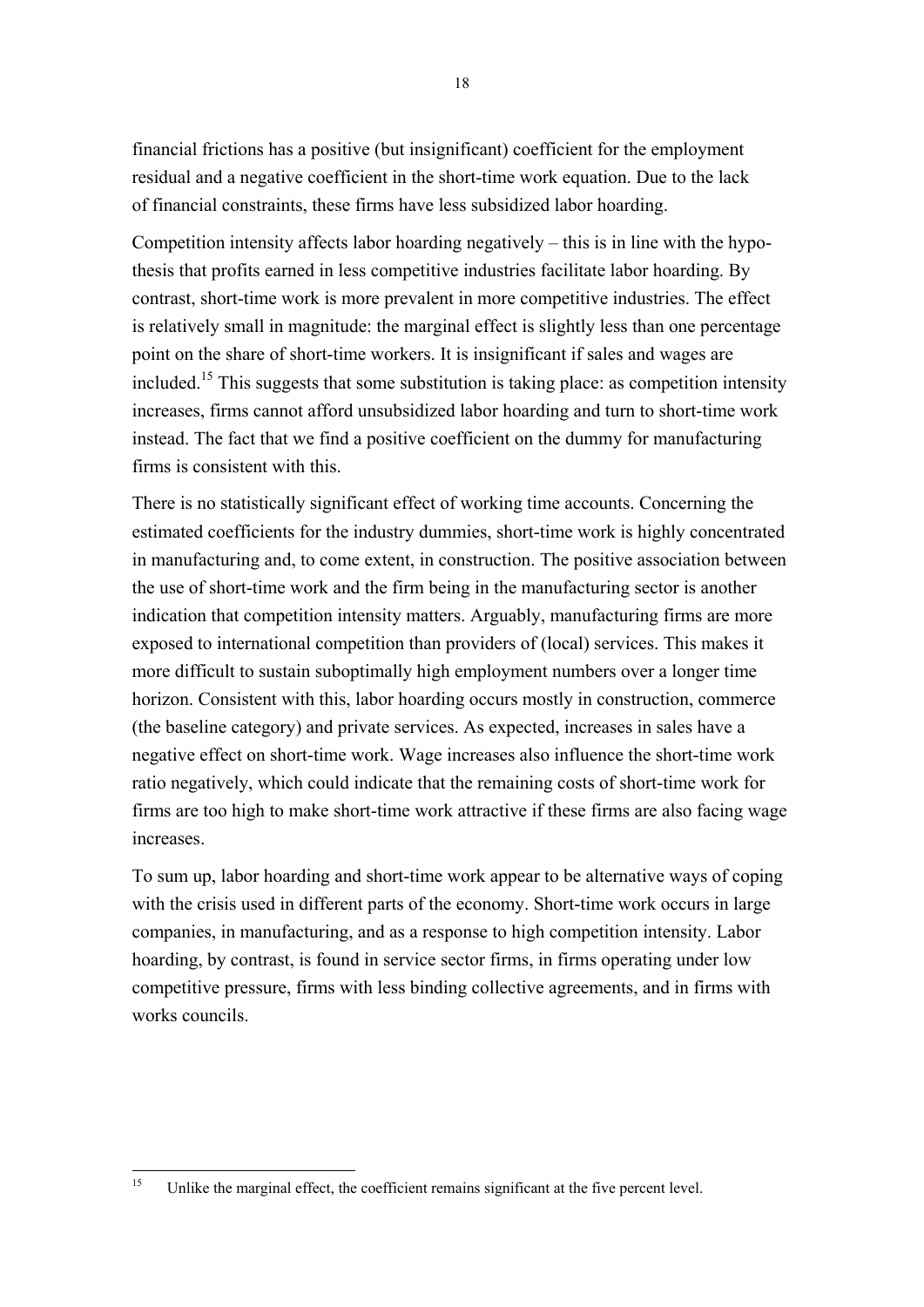financial frictions has a positive (but insignificant) coefficient for the employment residual and a negative coefficient in the short-time work equation. Due to the lack of financial constraints, these firms have less subsidized labor hoarding.

Competition intensity affects labor hoarding negatively – this is in line with the hypothesis that profits earned in less competitive industries facilitate labor hoarding. By contrast, short-time work is more prevalent in more competitive industries. The effect is relatively small in magnitude: the marginal effect is slightly less than one percentage point on the share of short-time workers. It is insignificant if sales and wages are included.15 This suggests that some substitution is taking place: as competition intensity increases, firms cannot afford unsubsidized labor hoarding and turn to short-time work instead. The fact that we find a positive coefficient on the dummy for manufacturing firms is consistent with this.

There is no statistically significant effect of working time accounts. Concerning the estimated coefficients for the industry dummies, short-time work is highly concentrated in manufacturing and, to come extent, in construction. The positive association between the use of short-time work and the firm being in the manufacturing sector is another indication that competition intensity matters. Arguably, manufacturing firms are more exposed to international competition than providers of (local) services. This makes it more difficult to sustain suboptimally high employment numbers over a longer time horizon. Consistent with this, labor hoarding occurs mostly in construction, commerce (the baseline category) and private services. As expected, increases in sales have a negative effect on short-time work. Wage increases also influence the short-time work ratio negatively, which could indicate that the remaining costs of short-time work for firms are too high to make short-time work attractive if these firms are also facing wage increases.

To sum up, labor hoarding and short-time work appear to be alternative ways of coping with the crisis used in different parts of the economy. Short-time work occurs in large companies, in manufacturing, and as a response to high competition intensity. Labor hoarding, by contrast, is found in service sector firms, in firms operating under low competitive pressure, firms with less binding collective agreements, and in firms with works councils.

 $15$ Unlike the marginal effect, the coefficient remains significant at the five percent level.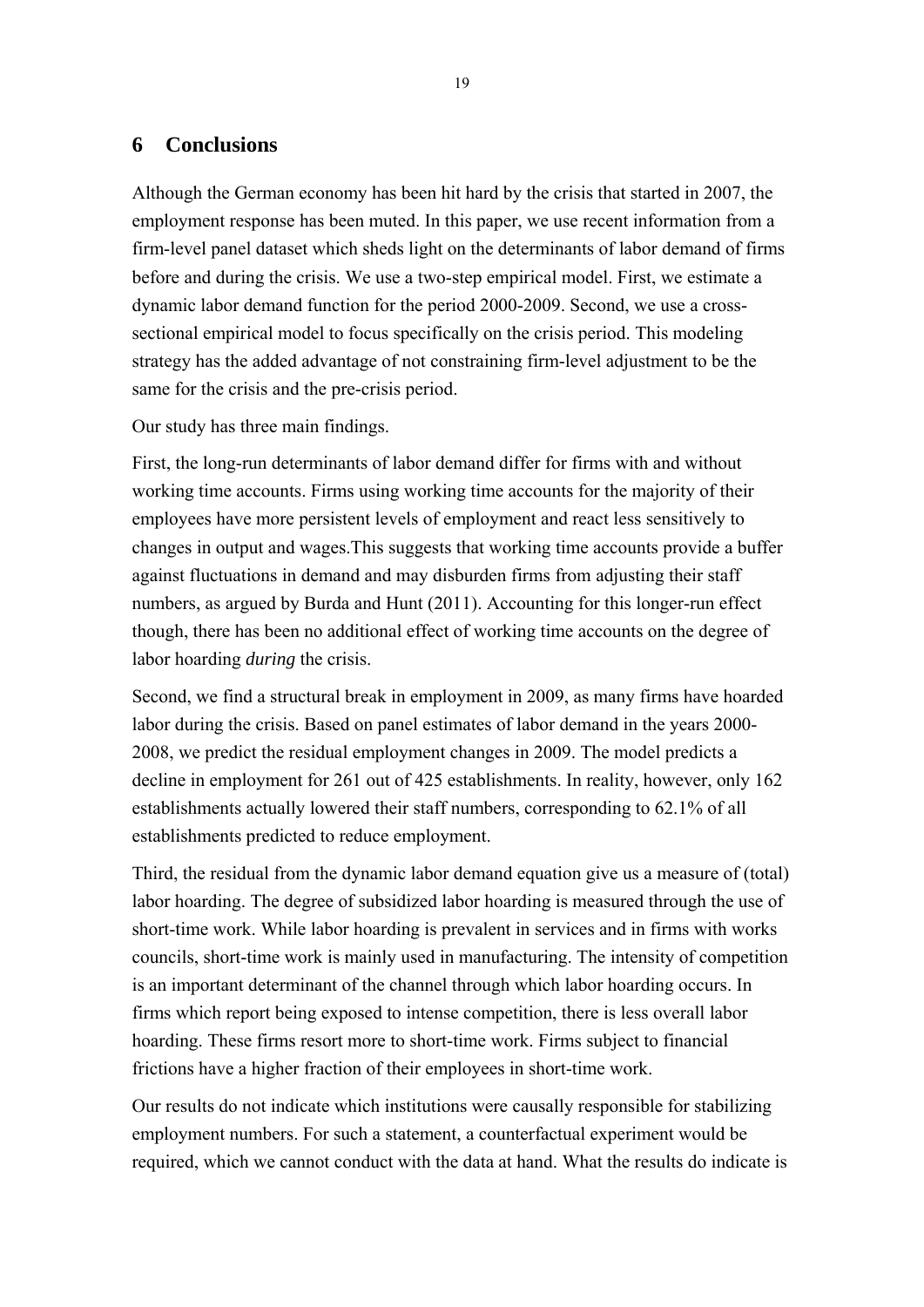### **6 Conclusions**

Although the German economy has been hit hard by the crisis that started in 2007, the employment response has been muted. In this paper, we use recent information from a firm-level panel dataset which sheds light on the determinants of labor demand of firms before and during the crisis. We use a two-step empirical model. First, we estimate a dynamic labor demand function for the period 2000-2009. Second, we use a crosssectional empirical model to focus specifically on the crisis period. This modeling strategy has the added advantage of not constraining firm-level adjustment to be the same for the crisis and the pre-crisis period.

Our study has three main findings.

First, the long-run determinants of labor demand differ for firms with and without working time accounts. Firms using working time accounts for the majority of their employees have more persistent levels of employment and react less sensitively to changes in output and wages.This suggests that working time accounts provide a buffer against fluctuations in demand and may disburden firms from adjusting their staff numbers, as argued by Burda and Hunt (2011). Accounting for this longer-run effect though, there has been no additional effect of working time accounts on the degree of labor hoarding *during* the crisis.

Second, we find a structural break in employment in 2009, as many firms have hoarded labor during the crisis. Based on panel estimates of labor demand in the years 2000- 2008, we predict the residual employment changes in 2009. The model predicts a decline in employment for 261 out of 425 establishments. In reality, however, only 162 establishments actually lowered their staff numbers, corresponding to 62.1% of all establishments predicted to reduce employment.

Third, the residual from the dynamic labor demand equation give us a measure of (total) labor hoarding. The degree of subsidized labor hoarding is measured through the use of short-time work. While labor hoarding is prevalent in services and in firms with works councils, short-time work is mainly used in manufacturing. The intensity of competition is an important determinant of the channel through which labor hoarding occurs. In firms which report being exposed to intense competition, there is less overall labor hoarding. These firms resort more to short-time work. Firms subject to financial frictions have a higher fraction of their employees in short-time work.

Our results do not indicate which institutions were causally responsible for stabilizing employment numbers. For such a statement, a counterfactual experiment would be required, which we cannot conduct with the data at hand. What the results do indicate is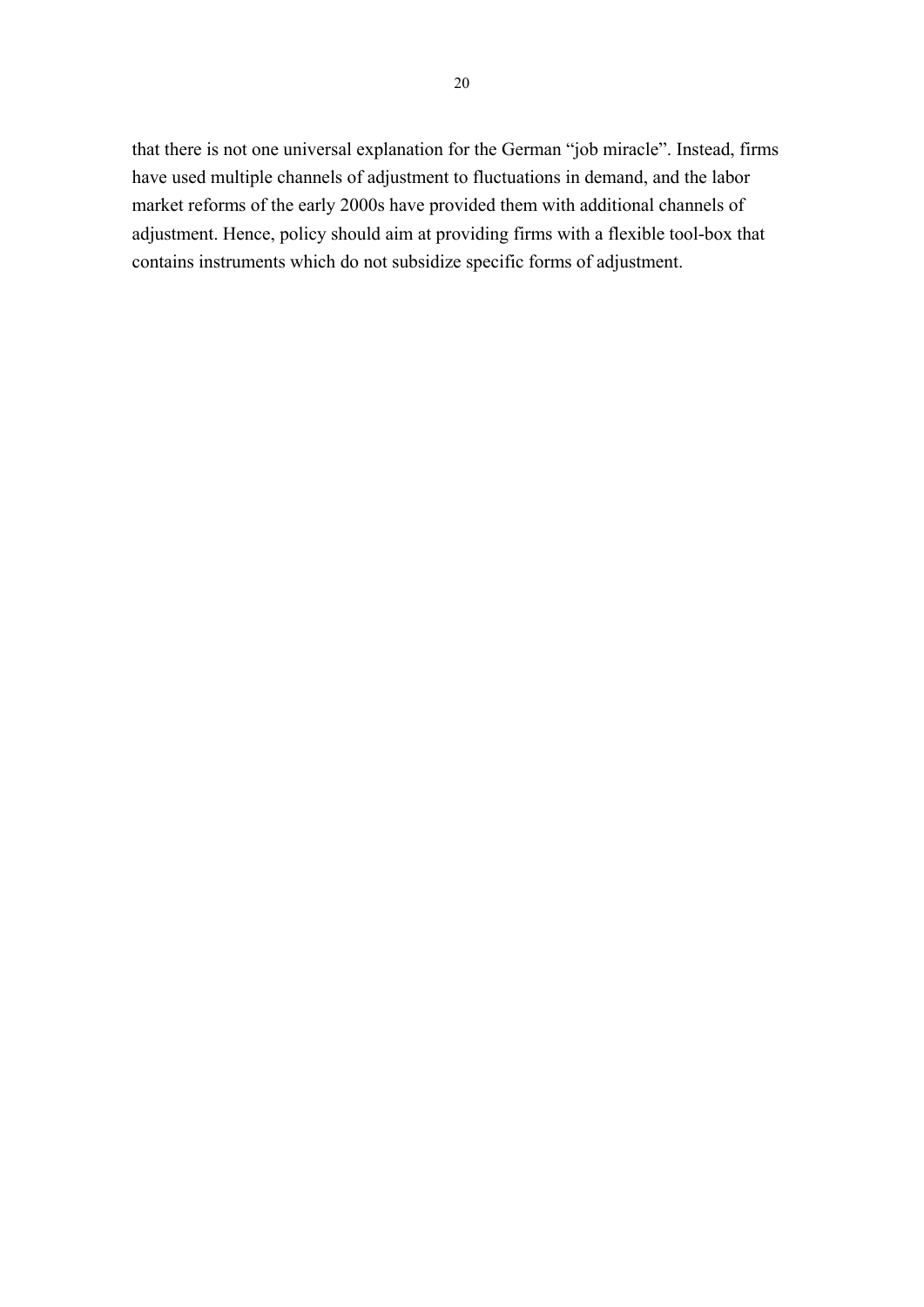that there is not one universal explanation for the German "job miracle". Instead, firms have used multiple channels of adjustment to fluctuations in demand, and the labor market reforms of the early 2000s have provided them with additional channels of adjustment. Hence, policy should aim at providing firms with a flexible tool-box that contains instruments which do not subsidize specific forms of adjustment.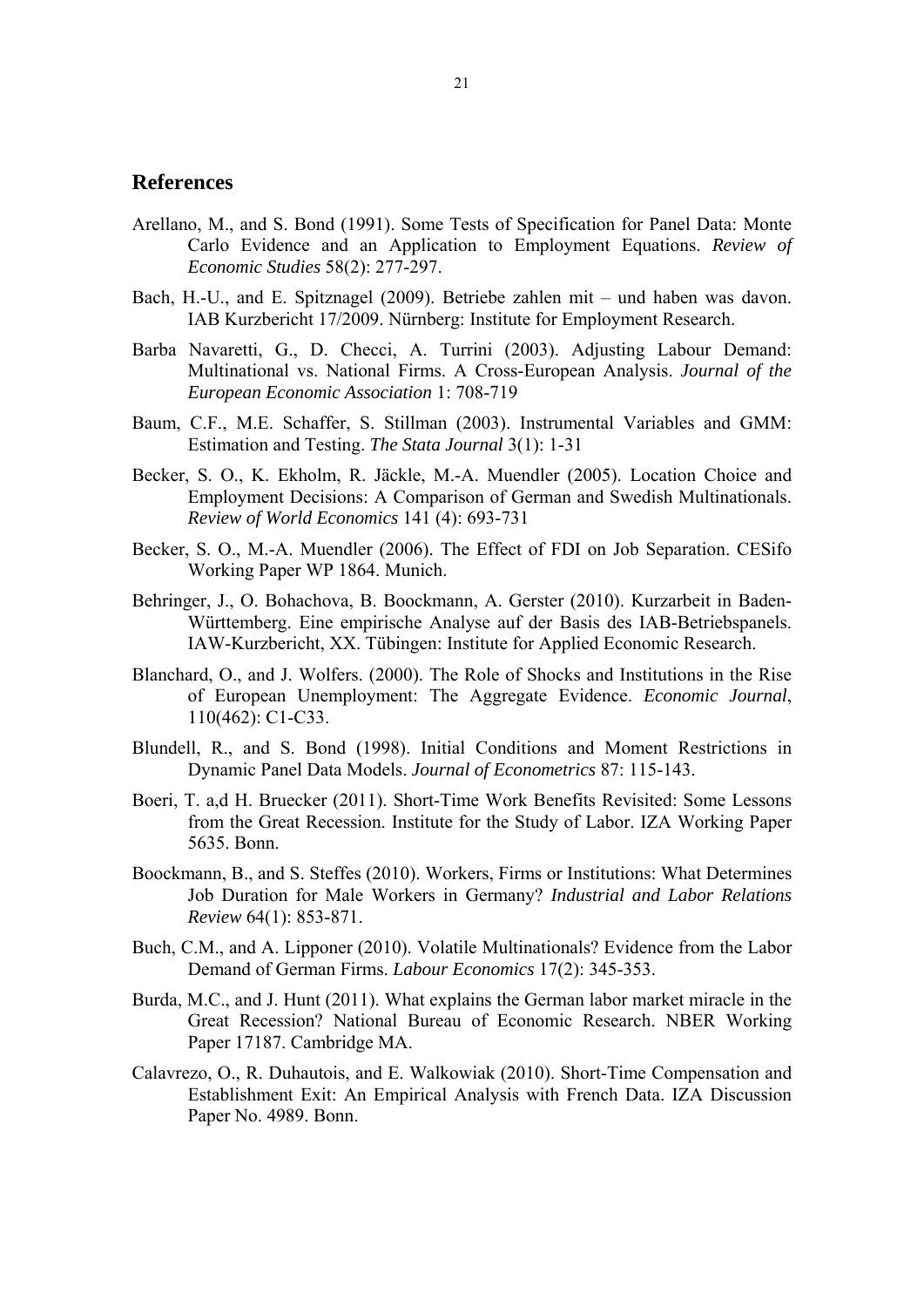#### **References**

- Arellano, M., and S. Bond (1991). Some Tests of Specification for Panel Data: Monte Carlo Evidence and an Application to Employment Equations. *Review of Economic Studies* 58(2): 277-297.
- Bach, H.-U., and E. Spitznagel (2009). Betriebe zahlen mit und haben was davon. IAB Kurzbericht 17/2009. Nürnberg: Institute for Employment Research.
- Barba Navaretti, G., D. Checci, A. Turrini (2003). Adjusting Labour Demand: Multinational vs. National Firms. A Cross-European Analysis. *Journal of the European Economic Association* 1: 708-719
- Baum, C.F., M.E. Schaffer, S. Stillman (2003). Instrumental Variables and GMM: Estimation and Testing. *The Stata Journal* 3(1): 1-31
- Becker, S. O., K. Ekholm, R. Jäckle, M.-A. Muendler (2005). Location Choice and Employment Decisions: A Comparison of German and Swedish Multinationals. *Review of World Economics* 141 (4): 693-731
- Becker, S. O., M.-A. Muendler (2006). The Effect of FDI on Job Separation. CESifo Working Paper WP 1864. Munich.
- Behringer, J., O. Bohachova, B. Boockmann, A. Gerster (2010). Kurzarbeit in Baden-Württemberg. Eine empirische Analyse auf der Basis des IAB-Betriebspanels. IAW-Kurzbericht, XX. Tübingen: Institute for Applied Economic Research.
- Blanchard, O., and J. Wolfers. (2000). The Role of Shocks and Institutions in the Rise of European Unemployment: The Aggregate Evidence. *Economic Journal*, 110(462): C1-C33.
- Blundell, R., and S. Bond (1998). Initial Conditions and Moment Restrictions in Dynamic Panel Data Models. *Journal of Econometrics* 87: 115-143.
- Boeri, T. a,d H. Bruecker (2011). Short-Time Work Benefits Revisited: Some Lessons from the Great Recession. Institute for the Study of Labor. IZA Working Paper 5635. Bonn.
- Boockmann, B., and S. Steffes (2010). Workers, Firms or Institutions: What Determines Job Duration for Male Workers in Germany? *Industrial and Labor Relations Review* 64(1): 853-871.
- Buch, C.M., and A. Lipponer (2010). Volatile Multinationals? Evidence from the Labor Demand of German Firms. *Labour Economics* 17(2): 345-353.
- Burda, M.C., and J. Hunt (2011). What explains the German labor market miracle in the Great Recession? National Bureau of Economic Research. NBER Working Paper 17187. Cambridge MA.
- Calavrezo, O., R. Duhautois, and E. Walkowiak (2010). Short-Time Compensation and Establishment Exit: An Empirical Analysis with French Data. IZA Discussion Paper No. 4989. Bonn.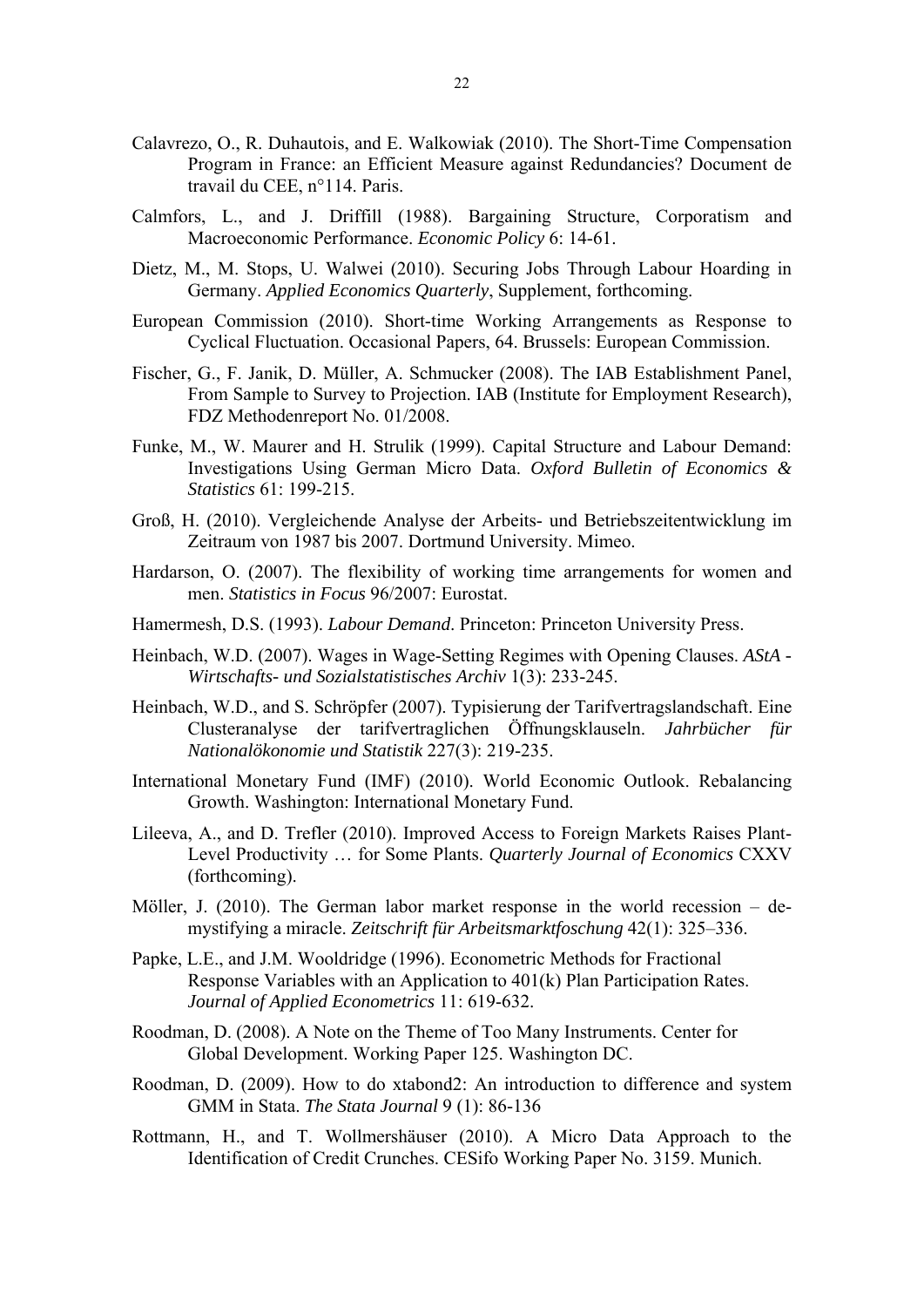- Calavrezo, O., R. Duhautois, and E. Walkowiak (2010). The Short-Time Compensation Program in France: an Efficient Measure against Redundancies? Document de travail du CEE, n°114. Paris.
- Calmfors, L., and J. Driffill (1988). Bargaining Structure, Corporatism and Macroeconomic Performance. *Economic Policy* 6: 14-61.
- Dietz, M., M. Stops, U. Walwei (2010). Securing Jobs Through Labour Hoarding in Germany. *Applied Economics Quarterly*, Supplement, forthcoming.
- European Commission (2010). Short-time Working Arrangements as Response to Cyclical Fluctuation. Occasional Papers, 64. Brussels: European Commission.
- Fischer, G., F. Janik, D. Müller, A. Schmucker (2008). The IAB Establishment Panel, From Sample to Survey to Projection. IAB (Institute for Employment Research), FDZ Methodenreport No. 01/2008.
- Funke, M., W. Maurer and H. Strulik (1999). Capital Structure and Labour Demand: Investigations Using German Micro Data. *Oxford Bulletin of Economics & Statistics* 61: 199-215.
- Groß, H. (2010). Vergleichende Analyse der Arbeits- und Betriebszeitentwicklung im Zeitraum von 1987 bis 2007. Dortmund University. Mimeo.
- Hardarson, O. (2007). The flexibility of working time arrangements for women and men. *Statistics in Focus* 96/2007: Eurostat.
- Hamermesh, D.S. (1993). *Labour Demand*. Princeton: Princeton University Press.
- Heinbach, W.D. (2007). Wages in Wage-Setting Regimes with Opening Clauses. *AStA Wirtschafts- und Sozialstatistisches Archiv* 1(3): 233-245.
- Heinbach, W.D., and S. Schröpfer (2007). Typisierung der Tarifvertragslandschaft. Eine Clusteranalyse der tarifvertraglichen Öffnungsklauseln. *Jahrbücher für Nationalökonomie und Statistik* 227(3): 219-235.
- International Monetary Fund (IMF) (2010). World Economic Outlook. Rebalancing Growth. Washington: International Monetary Fund.
- Lileeva, A., and D. Trefler (2010). Improved Access to Foreign Markets Raises Plant-Level Productivity … for Some Plants. *Quarterly Journal of Economics* CXXV (forthcoming).
- Möller, J. (2010). The German labor market response in the world recession demystifying a miracle. *Zeitschrift für Arbeitsmarktfoschung* 42(1): 325–336.
- Papke, L.E., and J.M. Wooldridge (1996). Econometric Methods for Fractional Response Variables with an Application to 401(k) Plan Participation Rates. *Journal of Applied Econometrics* 11: 619-632.
- Roodman, D. (2008). A Note on the Theme of Too Many Instruments. Center for Global Development. Working Paper 125. Washington DC.
- Roodman, D. (2009). How to do xtabond2: An introduction to difference and system GMM in Stata. *The Stata Journal* 9 (1): 86-136
- Rottmann, H., and T. Wollmershäuser (2010). A Micro Data Approach to the Identification of Credit Crunches. CESifo Working Paper No. 3159. Munich.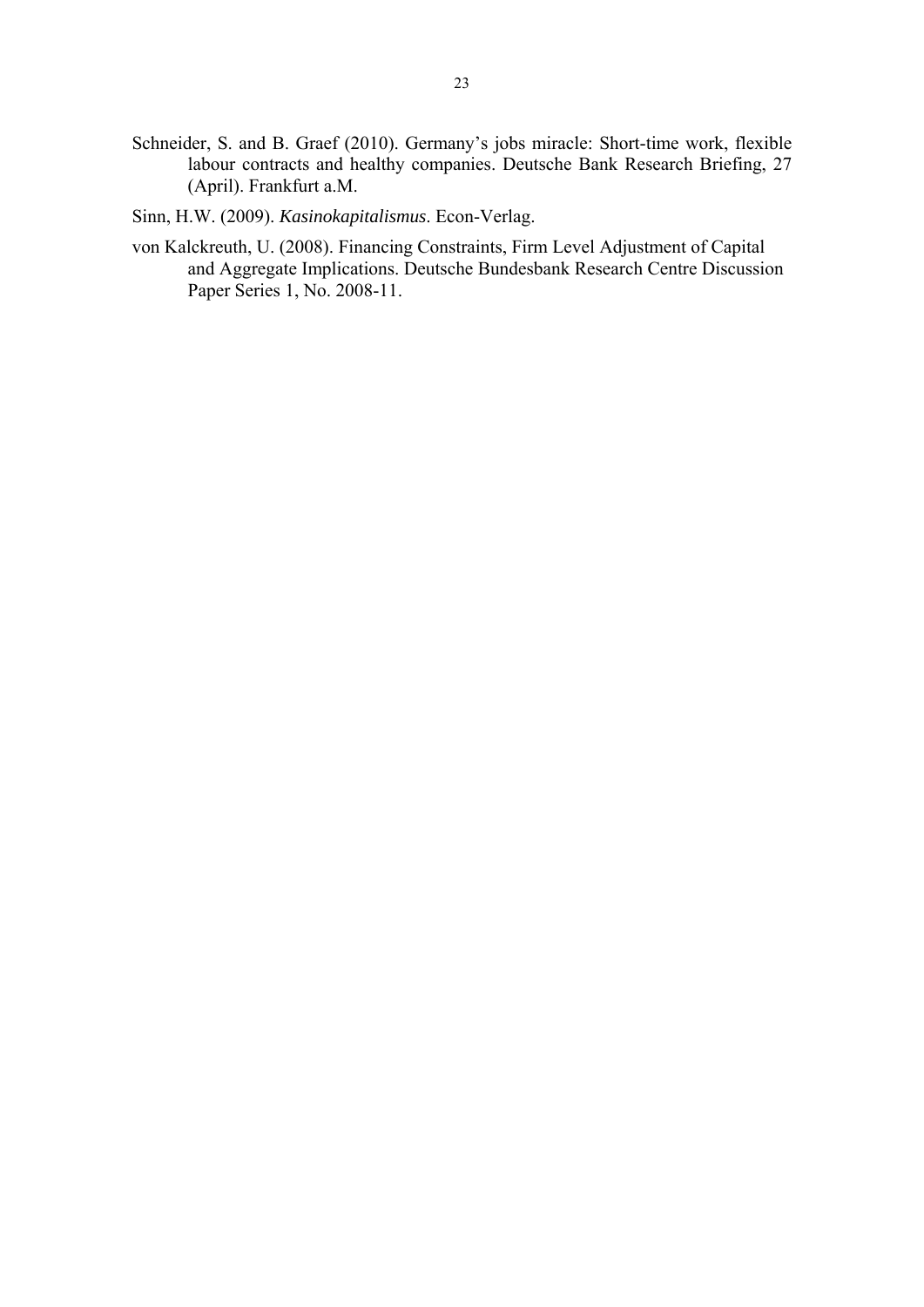- Schneider, S. and B. Graef (2010). Germany's jobs miracle: Short-time work, flexible labour contracts and healthy companies. Deutsche Bank Research Briefing, 27 (April). Frankfurt a.M.
- Sinn, H.W. (2009). *Kasinokapitalismus*. Econ-Verlag.
- von Kalckreuth, U. (2008). Financing Constraints, Firm Level Adjustment of Capital and Aggregate Implications. Deutsche Bundesbank Research Centre Discussion Paper Series 1, No. 2008-11.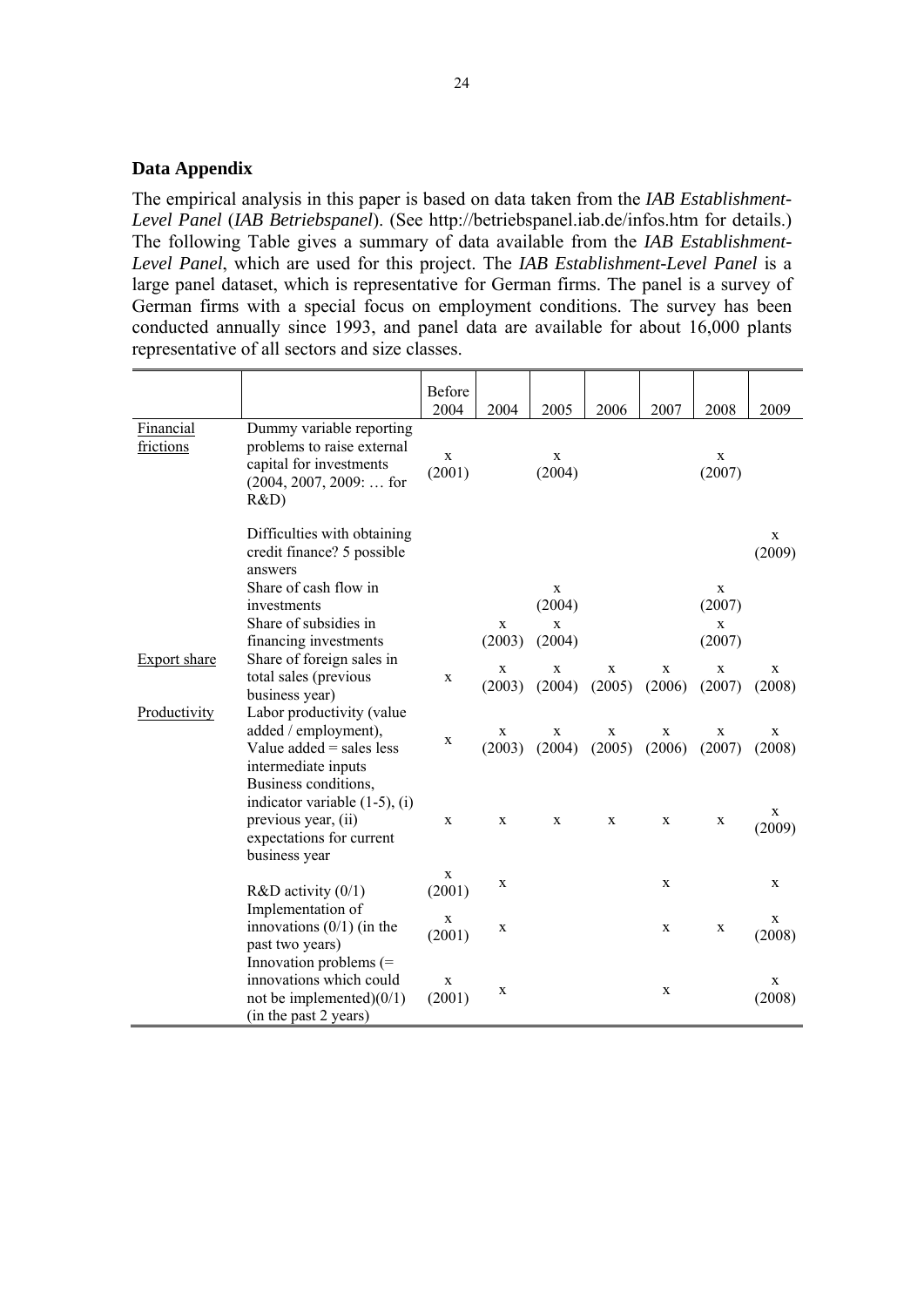#### **Data Appendix**

The empirical analysis in this paper is based on data taken from the *IAB Establishment-Level Panel* (*IAB Betriebspanel*). (See http://betriebspanel.iab.de/infos.htm for details.) The following Table gives a summary of data available from the *IAB Establishment-Level Panel*, which are used for this project. The *IAB Establishment-Level Panel* is a large panel dataset, which is representative for German firms. The panel is a survey of German firms with a special focus on employment conditions. The survey has been conducted annually since 1993, and panel data are available for about 16,000 plants representative of all sectors and size classes.

|                                                                                             |                                                                                                                                | Before<br>2004 | 2004                  | 2005                  | 2006        | 2007                  | 2008                  | 2009                  |
|---------------------------------------------------------------------------------------------|--------------------------------------------------------------------------------------------------------------------------------|----------------|-----------------------|-----------------------|-------------|-----------------------|-----------------------|-----------------------|
| Financial<br>frictions                                                                      | Dummy variable reporting<br>problems to raise external<br>capital for investments<br>$(2004, 2007, 2009: \dots$ for<br>R&D)    | X<br>(2001)    |                       | X<br>(2004)           |             |                       | X<br>(2007)           |                       |
|                                                                                             | Difficulties with obtaining<br>credit finance? 5 possible<br>answers                                                           |                |                       |                       |             |                       |                       | X<br>(2009)           |
|                                                                                             | Share of cash flow in<br>investments                                                                                           |                |                       | $\mathbf X$<br>(2004) |             |                       | X<br>(2007)           |                       |
|                                                                                             | Share of subsidies in                                                                                                          |                | $\mathbf x$           | $\mathbf x$           |             |                       | $\mathbf x$           |                       |
|                                                                                             | financing investments                                                                                                          |                | (2003)                | (2004)                |             |                       | (2007)                |                       |
| Share of foreign sales in<br><b>Export share</b><br>total sales (previous<br>business year) | X                                                                                                                              | X<br>(2003)    | X<br>(2004)           | X<br>(2005)           | X<br>(2006) | X<br>(2007)           | X<br>(2008)           |                       |
| Productivity                                                                                | Labor productivity (value<br>added / employment),<br>Value added $=$ sales less<br>intermediate inputs<br>Business conditions, | X              | $\mathbf X$<br>(2003) | $\mathbf X$<br>(2004) | X<br>(2005) | $\mathbf X$<br>(2006) | X<br>(2007)           | $\mathbf X$<br>(2008) |
| previous year, (ii)<br>business year                                                        | indicator variable $(1-5)$ , $(i)$<br>expectations for current                                                                 | X              | X                     | X                     | X           | X                     | X                     | X<br>(2009)           |
|                                                                                             | $R&D$ activity $(0/1)$                                                                                                         | X<br>(2001)    | X                     |                       |             | X                     |                       | X                     |
| Implementation of<br>innovations $(0/1)$ (in the<br>past two years)                         | X<br>(2001)                                                                                                                    | X              |                       |                       | X           | X                     | $\mathbf X$<br>(2008) |                       |
|                                                                                             | Innovation problems (=<br>innovations which could<br>not be implemented $(0/1)$<br>(in the past 2 years)                       | X<br>(2001)    | X                     |                       |             | X                     |                       | X<br>(2008)           |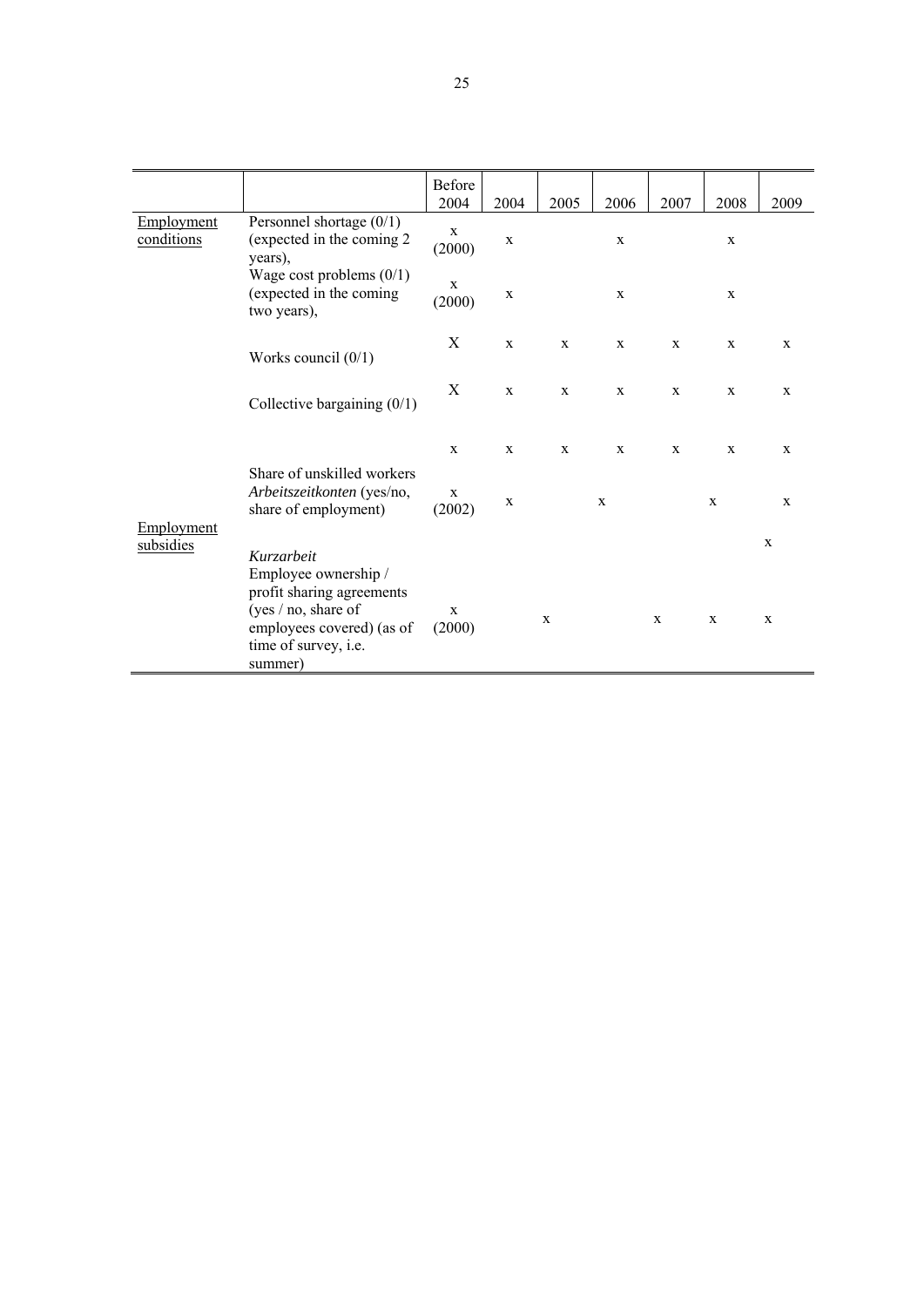|                          |                                                                                                                                                          | Before<br>2004        | 2004         | 2005         | 2006         | 2007        | 2008        | 2009                       |
|--------------------------|----------------------------------------------------------------------------------------------------------------------------------------------------------|-----------------------|--------------|--------------|--------------|-------------|-------------|----------------------------|
| Employment<br>conditions | Personnel shortage $(0/1)$<br>(expected in the coming 2)<br>years),                                                                                      | $\mathbf X$<br>(2000) | $\mathbf X$  |              | $\mathbf X$  |             | $\mathbf X$ |                            |
|                          | Wage cost problems $(0/1)$<br>(expected in the coming<br>two years),                                                                                     | $\mathbf X$<br>(2000) | $\mathbf X$  |              | $\mathbf X$  |             | $\mathbf X$ |                            |
|                          | Works council $(0/1)$                                                                                                                                    | X                     | $\mathbf X$  | X            | $\mathbf x$  | $\mathbf X$ | $\mathbf X$ | $\mathbf X$                |
|                          | Collective bargaining $(0/1)$                                                                                                                            | X                     | $\mathbf x$  | $\mathbf{X}$ | $\mathbf x$  | $\mathbf X$ | $\mathbf X$ | $\mathbf X$                |
|                          |                                                                                                                                                          | $\mathbf x$           | $\mathbf{X}$ | X            | $\mathbf{X}$ | X           | X           | $\mathbf{X}$               |
| Employment<br>subsidies  | Share of unskilled workers<br>Arbeitszeitkonten (yes/no,<br>share of employment)                                                                         | $\mathbf X$<br>(2002) | $\mathbf X$  |              | $\mathbf x$  |             | $\mathbf X$ | $\mathbf X$                |
|                          | Kurzarbeit<br>Employee ownership /<br>profit sharing agreements<br>(yes $/$ no, share of<br>employees covered) (as of<br>time of survey, i.e.<br>summer) | $\mathbf X$<br>(2000) |              | X            |              | $\mathbf X$ | $\mathbf X$ | $\mathbf X$<br>$\mathbf x$ |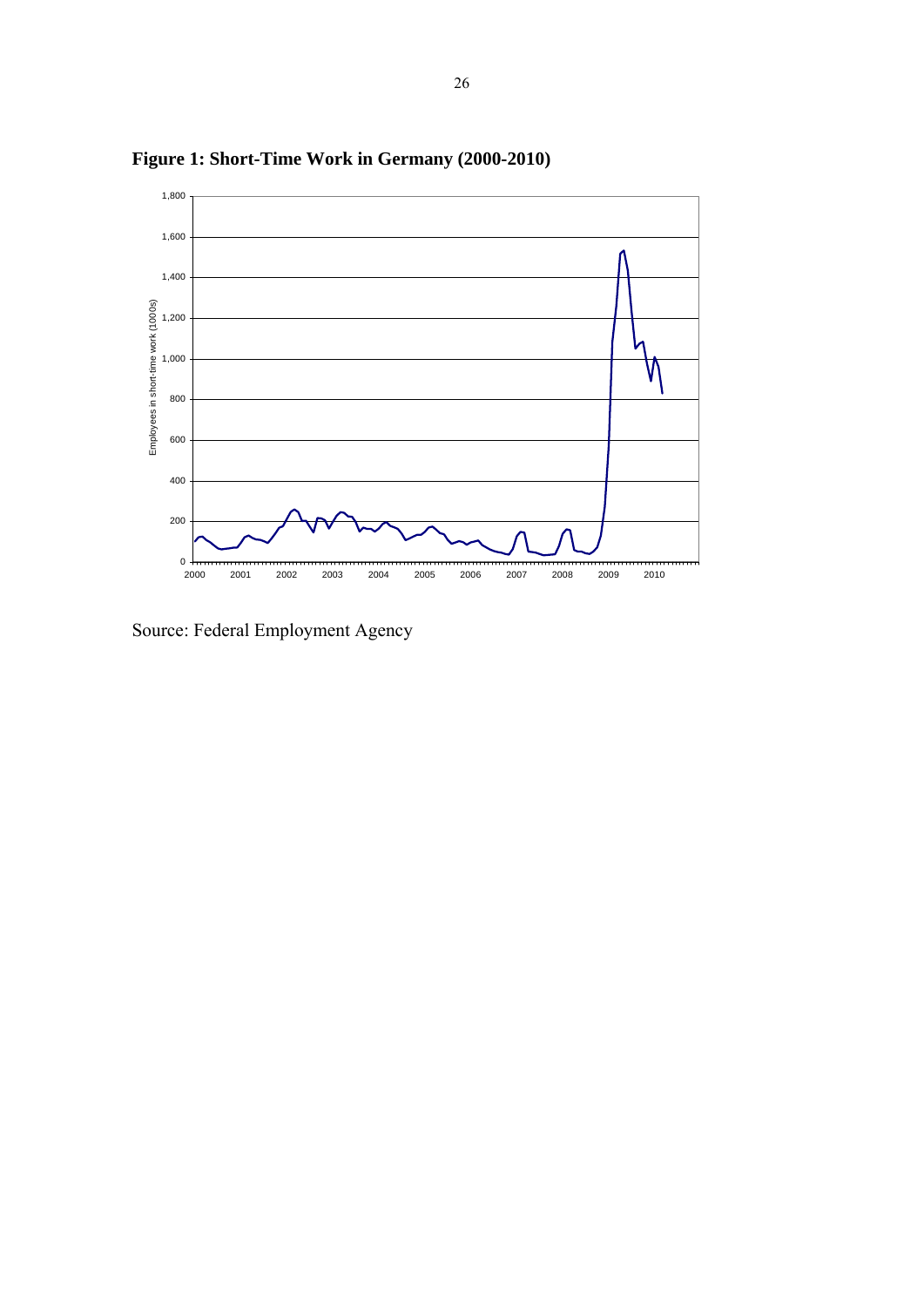

**Figure 1: Short-Time Work in Germany (2000-2010)** 

Source: Federal Employment Agency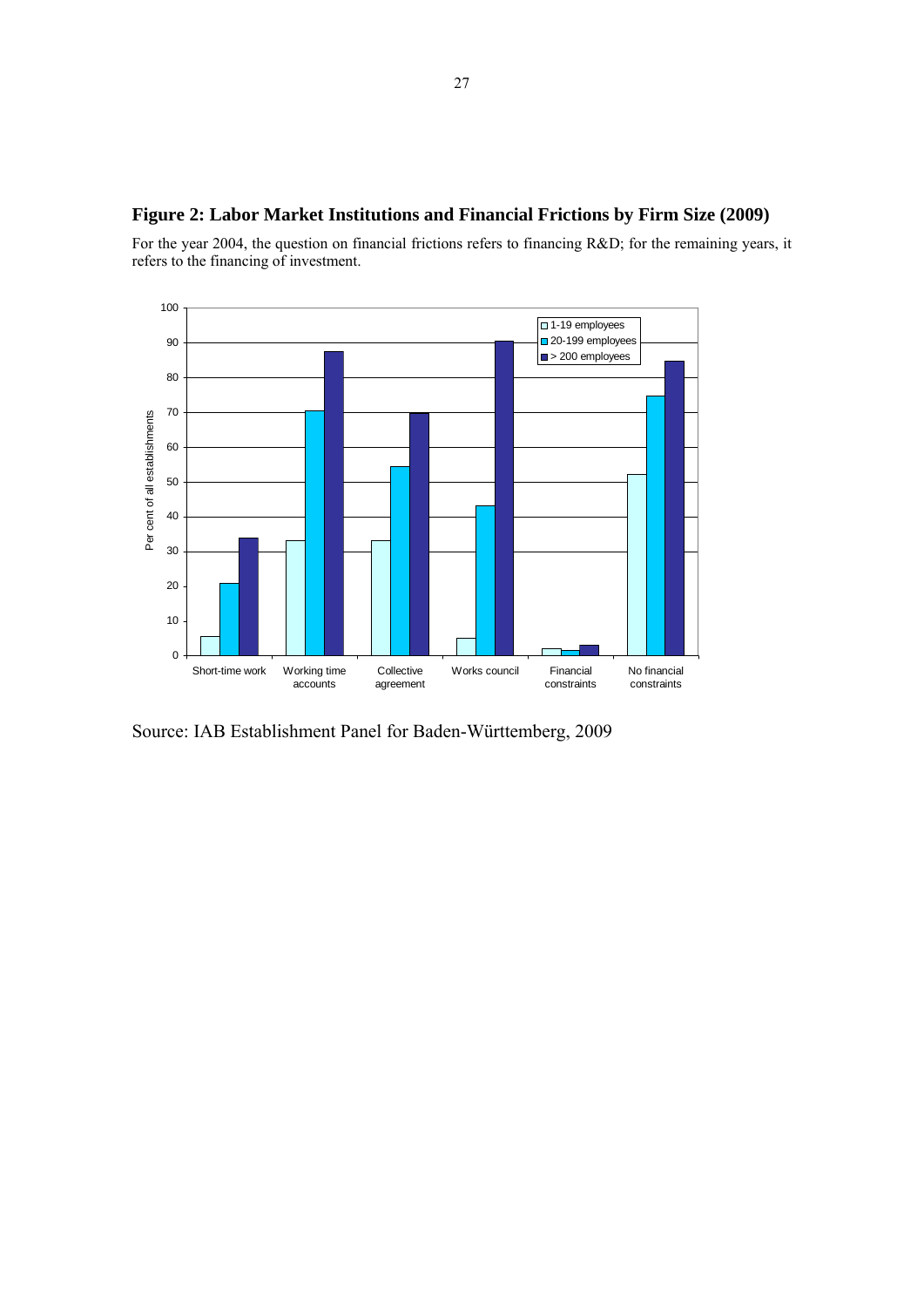### **Figure 2: Labor Market Institutions and Financial Frictions by Firm Size (2009)**

For the year 2004, the question on financial frictions refers to financing R&D; for the remaining years, it refers to the financing of investment.



Source: IAB Establishment Panel for Baden-Württemberg, 2009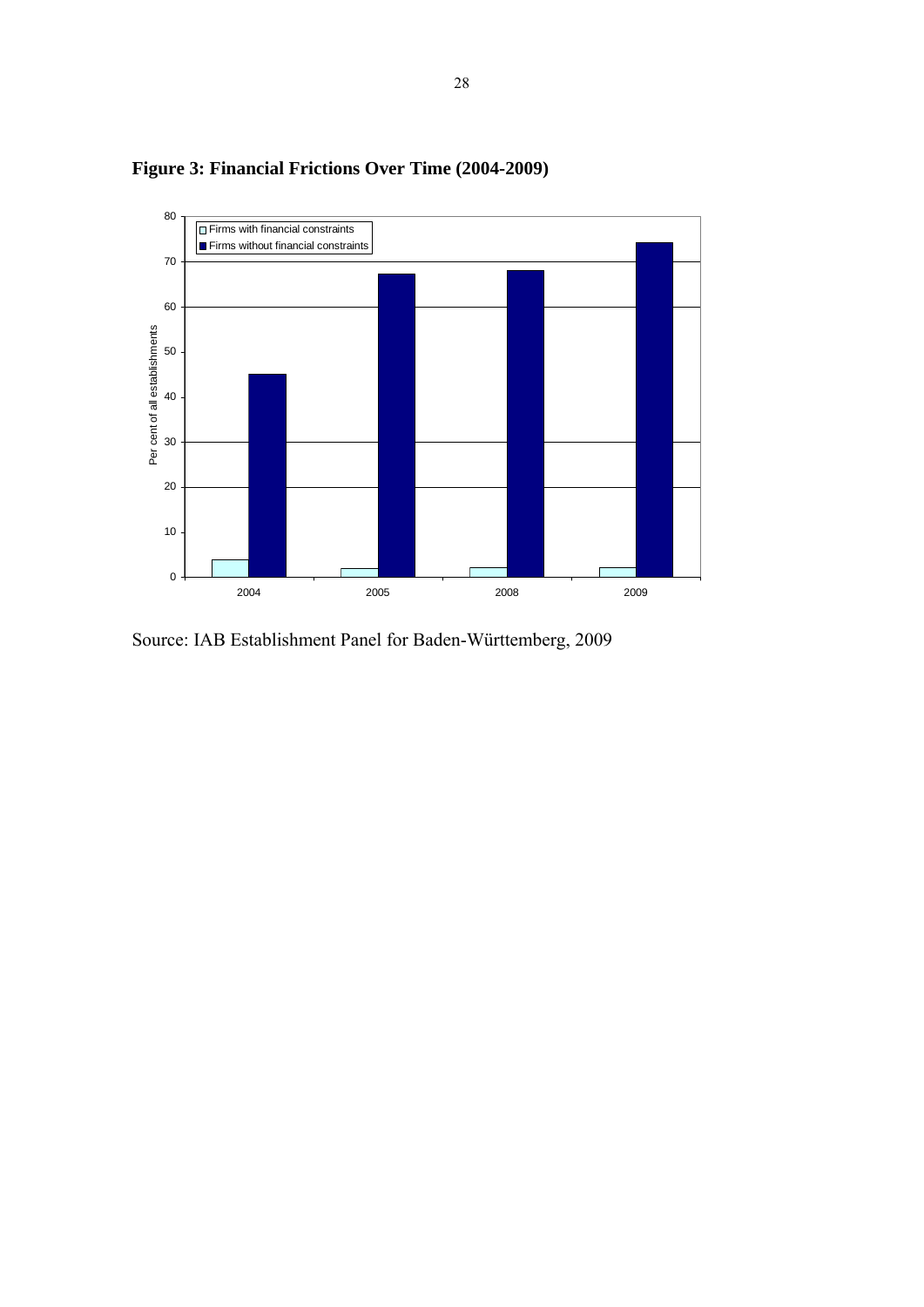

**Figure 3: Financial Frictions Over Time (2004-2009)** 

Source: IAB Establishment Panel for Baden-Württemberg, 2009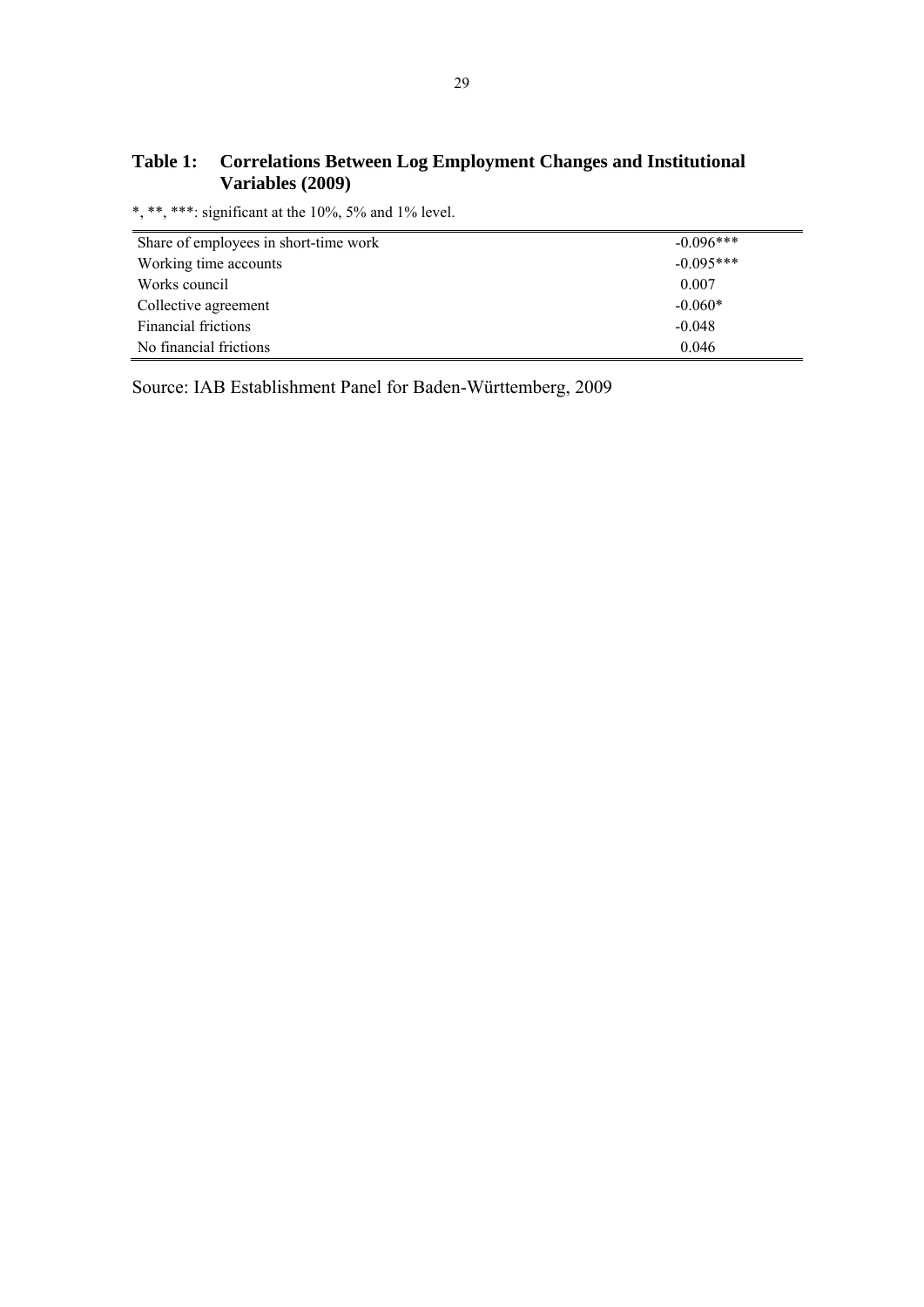### **Table 1: Correlations Between Log Employment Changes and Institutional Variables (2009)**

\*, \*\*, \*\*\*: significant at the 10%, 5% and 1% level.

| Share of employees in short-time work | $-0.096***$ |
|---------------------------------------|-------------|
| Working time accounts                 | $-0.095***$ |
| Works council                         | 0.007       |
| Collective agreement                  | $-0.060*$   |
| <b>Financial frictions</b>            | $-0.048$    |
| No financial frictions                | 0.046       |

Source: IAB Establishment Panel for Baden-Württemberg, 2009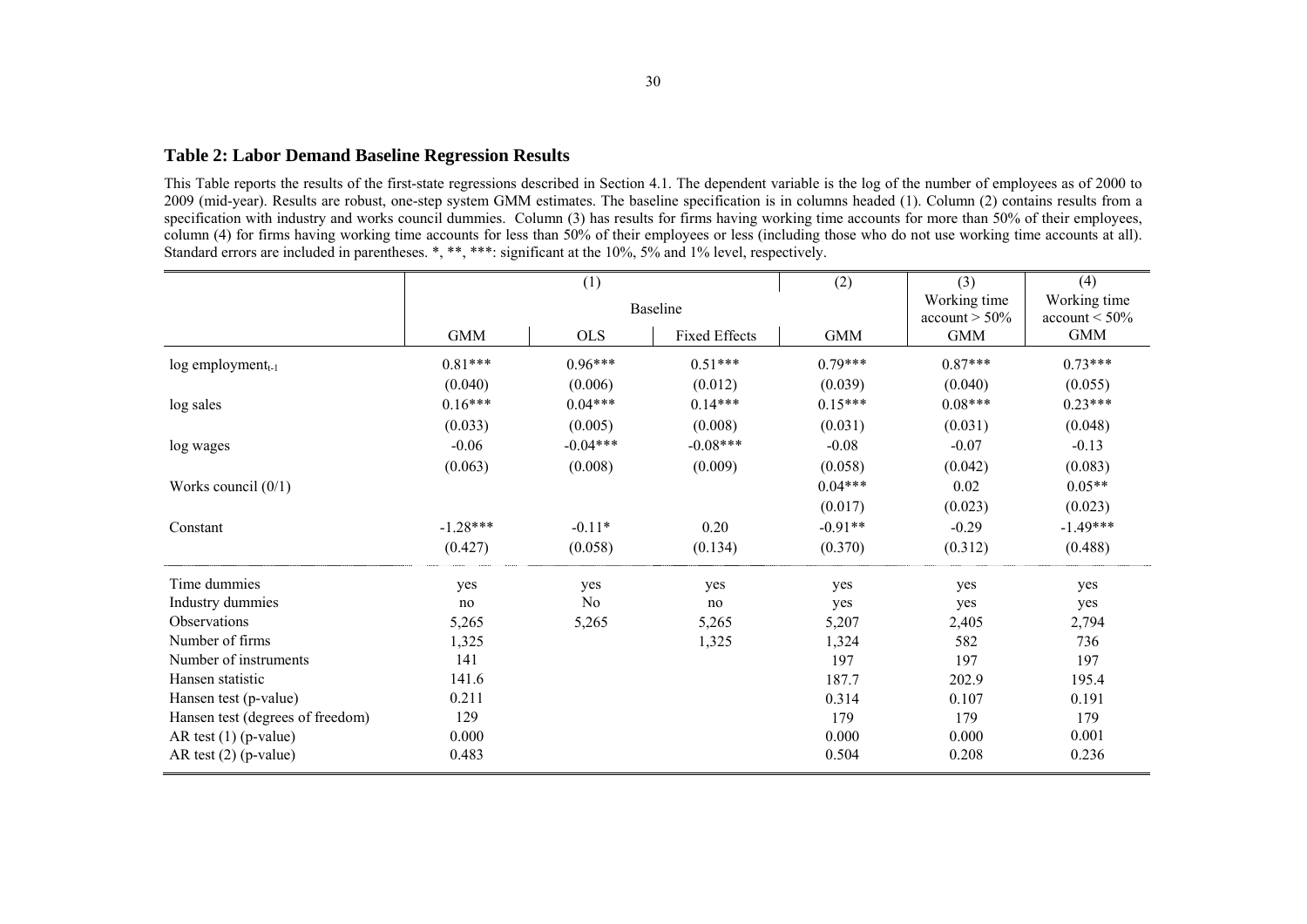#### **Table 2: Labor Demand Baseline Regression Results**

This Table reports the results of the first-state regressions described in Section 4.1. The dependent variable is the log of the number of employees as of 2000 to 2009 (mid-year). Results are robust, one-step system GMM estimates. The baseline specification is in columns headed (1). Column (2) contains results from a specification with industry and works council dummies. Column (3) has results for firms having working time accounts for more than 50% of their employees, column (4) for firms having working time accounts for less than 50% of their employees or less (including those who do not use working time accounts at all). Standard errors are included in parentheses. \*, \*\*, \*\*\*: significant at the 10%, 5% and 1% level, respectively.

|                                  |            | (1)        |                      | (2)        | (3)                              | (4)                              |  |
|----------------------------------|------------|------------|----------------------|------------|----------------------------------|----------------------------------|--|
|                                  |            |            | Baseline             |            | Working time<br>$account > 50\%$ | Working time<br>$account < 50\%$ |  |
|                                  | <b>GMM</b> | <b>OLS</b> | <b>Fixed Effects</b> | <b>GMM</b> | <b>GMM</b>                       | <b>GMM</b>                       |  |
| $log$ employment <sub>t-1</sub>  | $0.81***$  | $0.96***$  | $0.51***$            | $0.79***$  | $0.87***$                        | $0.73***$                        |  |
|                                  | (0.040)    | (0.006)    | (0.012)              | (0.039)    | (0.040)                          | (0.055)                          |  |
| log sales                        | $0.16***$  | $0.04***$  | $0.14***$            | $0.15***$  | $0.08***$                        | $0.23***$                        |  |
|                                  | (0.033)    | (0.005)    | (0.008)              | (0.031)    | (0.031)                          | (0.048)                          |  |
| log wages                        | $-0.06$    | $-0.04***$ | $-0.08***$           | $-0.08$    | $-0.07$                          | $-0.13$                          |  |
|                                  | (0.063)    | (0.008)    | (0.009)              | (0.058)    | (0.042)                          | (0.083)                          |  |
| Works council $(0/1)$            |            |            |                      | $0.04***$  | 0.02                             | $0.05**$                         |  |
|                                  |            |            |                      | (0.017)    | (0.023)                          | (0.023)                          |  |
| Constant                         | $-1.28***$ | $-0.11*$   | 0.20                 | $-0.91**$  | $-0.29$                          | $-1.49***$                       |  |
|                                  | (0.427)    | (0.058)    | (0.134)              | (0.370)    | (0.312)                          | (0.488)                          |  |
| Time dummies                     | yes        | yes        | yes                  | yes        | yes                              | yes                              |  |
| Industry dummies                 | no         | No         | no                   | yes        | yes                              | yes                              |  |
| Observations                     | 5,265      | 5,265      | 5,265                | 5,207      | 2,405                            | 2,794                            |  |
| Number of firms                  | 1,325      |            | 1,325                | 1,324      | 582                              | 736                              |  |
| Number of instruments            | 141        |            |                      | 197        | 197                              | 197                              |  |
| Hansen statistic                 | 141.6      |            |                      | 187.7      | 202.9                            | 195.4                            |  |
| Hansen test (p-value)            | 0.211      |            |                      | 0.314      | 0.107                            | 0.191                            |  |
| Hansen test (degrees of freedom) | 129        |            |                      | 179        | 179                              | 179                              |  |
| AR test $(1)$ (p-value)          | 0.000      |            |                      | 0.000      | 0.000                            | 0.001                            |  |
| AR test $(2)$ (p-value)          | 0.483      |            |                      | 0.504      | 0.208                            | 0.236                            |  |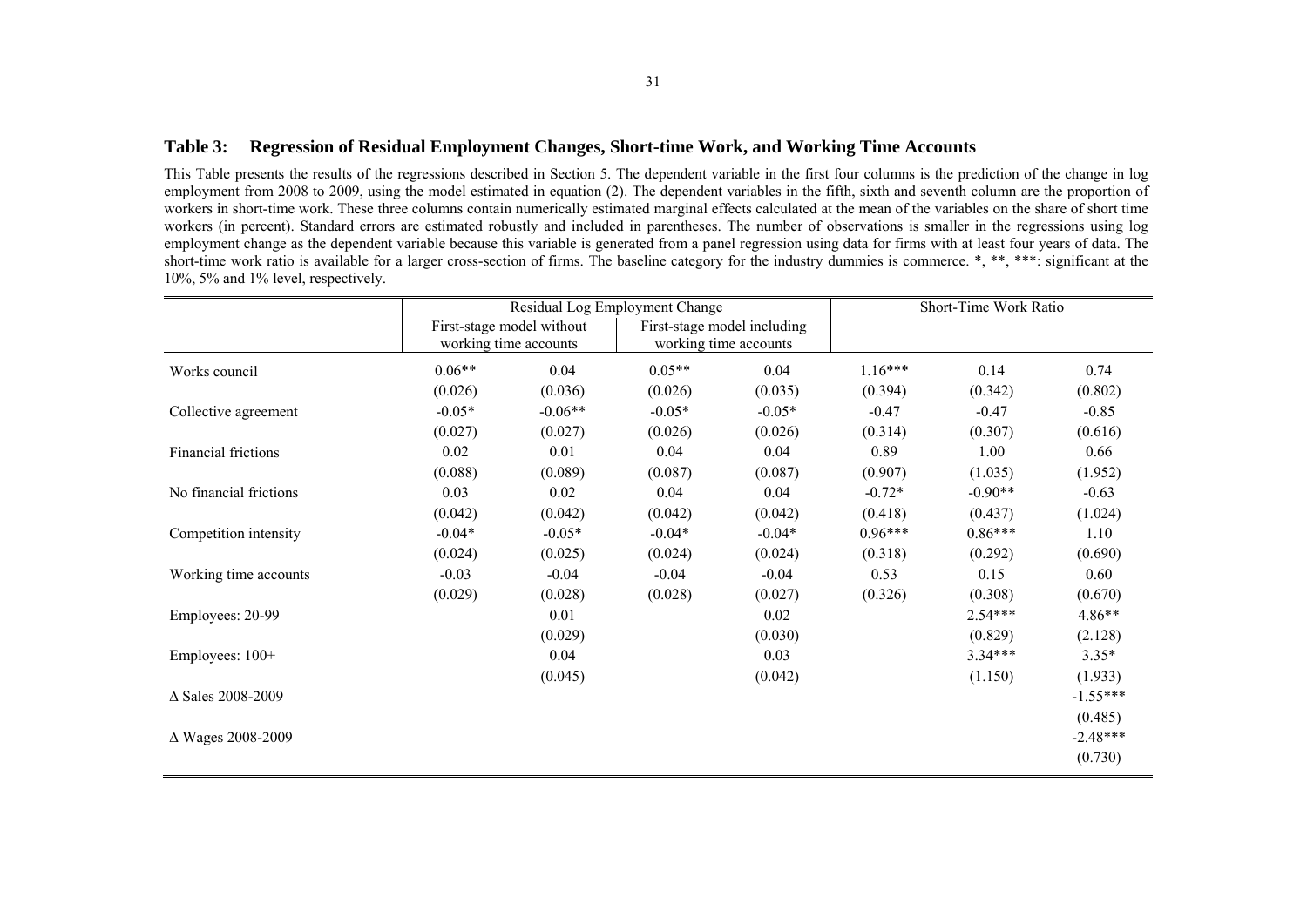#### **Table 3: Regression of Residual Employment Changes, Short-time Work, and Working Time Accounts**

This Table presents the results of the regressions described in Section 5. The dependent variable in the first four columns is the prediction of the change in log employment from 2008 to 2009, using the model estimated in equation (2). The dependent variables in the fifth, sixth and seventh column are the proportion of workers in short-time work. These three columns contain numerically estimated marginal effects calculated at the mean of the variables on the share of short time workers (in percent). Standard errors are estimated robustly and included in parentheses. The number of observations is smaller in the regressions using log employment change as the dependent variable because this variable is generated from a panel regression using data for firms with at least four years of data. The short-time work ratio is available for a larger cross-section of firms. The baseline category for the industry dummies is commerce. \*, \*\*, \*\*\*: significant at the 10%, 5% and 1% level, respectively.

|                          |          |                                                    | Residual Log Employment Change                       | Short-Time Work Ratio |           |           |            |
|--------------------------|----------|----------------------------------------------------|------------------------------------------------------|-----------------------|-----------|-----------|------------|
|                          |          | First-stage model without<br>working time accounts | First-stage model including<br>working time accounts |                       |           |           |            |
| Works council            | $0.06**$ | 0.04                                               | $0.05**$                                             | 0.04                  | $1.16***$ | 0.14      | 0.74       |
|                          | (0.026)  | (0.036)                                            | (0.026)                                              | (0.035)               | (0.394)   | (0.342)   | (0.802)    |
| Collective agreement     | $-0.05*$ | $-0.06**$                                          | $-0.05*$                                             | $-0.05*$              | $-0.47$   | $-0.47$   | $-0.85$    |
|                          | (0.027)  | (0.027)                                            | (0.026)                                              | (0.026)               | (0.314)   | (0.307)   | (0.616)    |
| Financial frictions      | 0.02     | 0.01                                               | 0.04                                                 | 0.04                  | 0.89      | 1.00      | 0.66       |
|                          | (0.088)  | (0.089)                                            | (0.087)                                              | (0.087)               | (0.907)   | (1.035)   | (1.952)    |
| No financial frictions   | 0.03     | 0.02                                               | 0.04                                                 | 0.04                  | $-0.72*$  | $-0.90**$ | $-0.63$    |
|                          | (0.042)  | (0.042)                                            | (0.042)                                              | (0.042)               | (0.418)   | (0.437)   | (1.024)    |
| Competition intensity    | $-0.04*$ | $-0.05*$                                           | $-0.04*$                                             | $-0.04*$              | $0.96***$ | $0.86***$ | 1.10       |
|                          | (0.024)  | (0.025)                                            | (0.024)                                              | (0.024)               | (0.318)   | (0.292)   | (0.690)    |
| Working time accounts    | $-0.03$  | $-0.04$                                            | $-0.04$                                              | $-0.04$               | 0.53      | 0.15      | 0.60       |
|                          | (0.029)  | (0.028)                                            | (0.028)                                              | (0.027)               | (0.326)   | (0.308)   | (0.670)    |
| Employees: 20-99         |          | 0.01                                               |                                                      | 0.02                  |           | $2.54***$ | 4.86**     |
|                          |          | (0.029)                                            |                                                      | (0.030)               |           | (0.829)   | (2.128)    |
| Employees: 100+          |          | 0.04                                               |                                                      | 0.03                  |           | $3.34***$ | $3.35*$    |
|                          |          | (0.045)                                            |                                                      | (0.042)               |           | (1.150)   | (1.933)    |
| $\Delta$ Sales 2008-2009 |          |                                                    |                                                      |                       |           |           | $-1.55***$ |
|                          |          |                                                    |                                                      |                       |           |           | (0.485)    |
| Δ Wages 2008-2009        |          |                                                    |                                                      |                       |           |           | $-2.48***$ |
|                          |          |                                                    |                                                      |                       |           |           | (0.730)    |